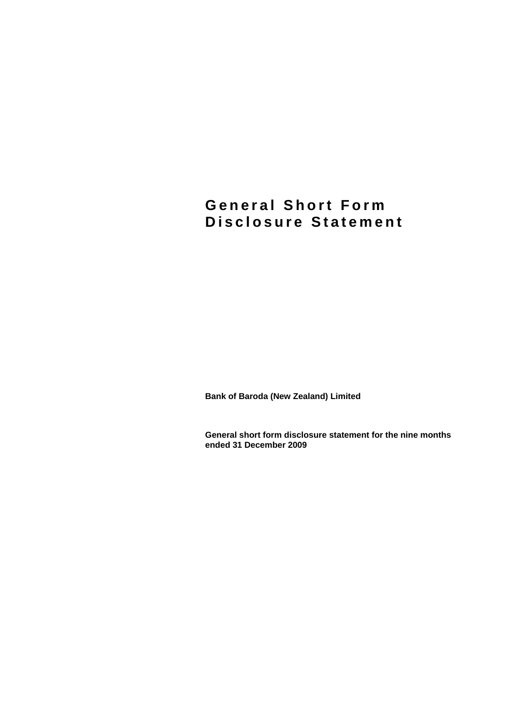# **General Short Form Disclosure Statement**

**Bank of Baroda (New Zealand) Limited** 

**General short form disclosure statement for the nine months ended 31 December 2009**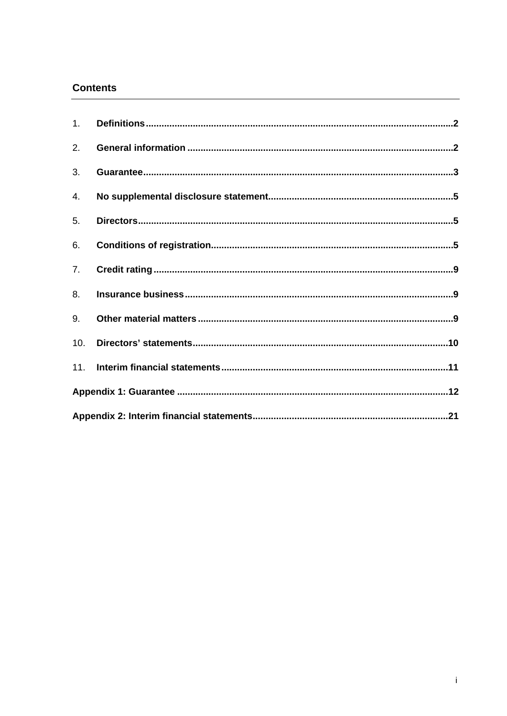### **Contents**

| 1.  |  |  |  |
|-----|--|--|--|
| 2.  |  |  |  |
| 3.  |  |  |  |
| 4.  |  |  |  |
| 5.  |  |  |  |
| 6.  |  |  |  |
| 7.  |  |  |  |
| 8.  |  |  |  |
| 9.  |  |  |  |
| 10. |  |  |  |
| 11. |  |  |  |
|     |  |  |  |
|     |  |  |  |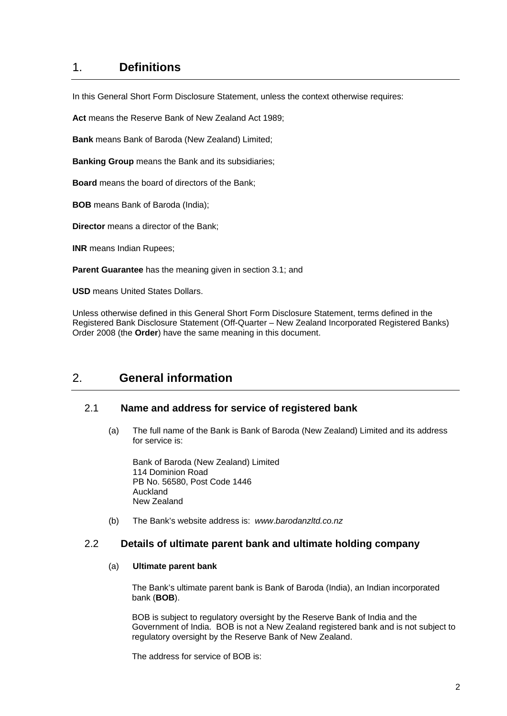## <span id="page-2-0"></span>1. **Definitions**

In this General Short Form Disclosure Statement, unless the context otherwise requires:

**Act** means the Reserve Bank of New Zealand Act 1989;

**Bank** means Bank of Baroda (New Zealand) Limited;

**Banking Group** means the Bank and its subsidiaries;

**Board** means the board of directors of the Bank;

**BOB** means Bank of Baroda (India);

**Director** means a director of the Bank;

**INR** means Indian Rupees;

**Parent Guarantee** has the meaning given in section 3.1; and

**USD** means United States Dollars.

Unless otherwise defined in this General Short Form Disclosure Statement, terms defined in the Registered Bank Disclosure Statement (Off-Quarter – New Zealand Incorporated Registered Banks) Order 2008 (the **Order**) have the same meaning in this document.

### <span id="page-2-1"></span>2. **General information**

### 2.1 **Name and address for service of registered bank**

(a) The full name of the Bank is Bank of Baroda (New Zealand) Limited and its address for service is:

Bank of Baroda (New Zealand) Limited 114 Dominion Road PB No. 56580, Post Code 1446 Auckland New Zealand

(b) The Bank's website address is: *www*.*[barodanzltd.co.nz](http://www.barodanzltd.co.nz/)* 

### 2.2 **Details of ultimate parent bank and ultimate holding company**

#### (a) **Ultimate parent bank**

The Bank's ultimate parent bank is Bank of Baroda (India), an Indian incorporated bank (**BOB**).

BOB is subject to regulatory oversight by the Reserve Bank of India and the Government of India. BOB is not a New Zealand registered bank and is not subject to regulatory oversight by the Reserve Bank of New Zealand.

The address for service of BOB is: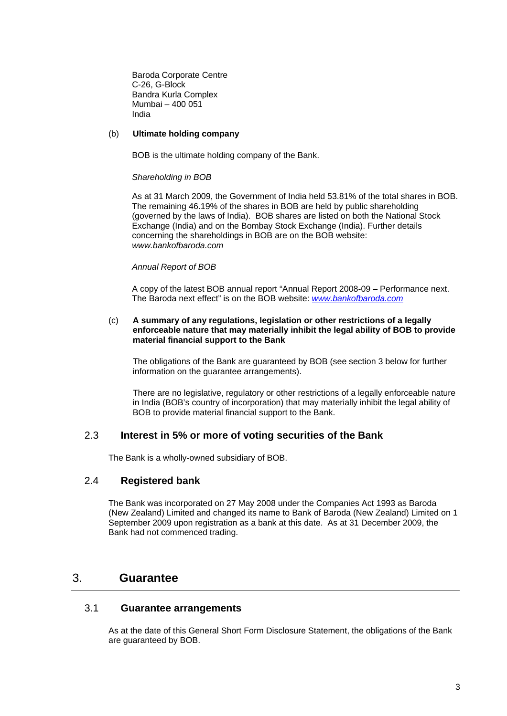Baroda Corporate Centre C-26, G-Block Bandra Kurla Complex Mumbai – 400 051 India

#### (b) **Ultimate holding company**

BOB is the ultimate holding company of the Bank.

#### *Shareholding in BOB*

As at 31 March 2009, the Government of India held 53.81% of the total shares in BOB. The remaining 46.19% of the shares in BOB are held by public shareholding (governed by the laws of India). BOB shares are listed on both the National Stock Exchange (India) and on the Bombay Stock Exchange (India). Further details concerning the shareholdings in BOB are on the BOB website: *[www.bankofbaroda.com](http://www.bankofbaroda.com/)*

#### *Annual Report of BOB*

A copy of the latest BOB annual report "Annual Report 2008-09 – Performance next. The Baroda next effect" is on the BOB website: *[www.bankofbaroda.com](http://www.bankofbaroda.com/)*

#### (c) **A summary of any regulations, legislation or other restrictions of a legally enforceable nature that may materially inhibit the legal ability of BOB to provide material financial support to the Bank**

The obligations of the Bank are guaranteed by BOB (see section 3 below for further information on the guarantee arrangements).

There are no legislative, regulatory or other restrictions of a legally enforceable nature in India (BOB's country of incorporation) that may materially inhibit the legal ability of BOB to provide material financial support to the Bank.

### 2.3 **Interest in 5% or more of voting securities of the Bank**

The Bank is a wholly-owned subsidiary of BOB.

### 2.4 **Registered bank**

The Bank was incorporated on 27 May 2008 under the Companies Act 1993 as Baroda (New Zealand) Limited and changed its name to Bank of Baroda (New Zealand) Limited on 1 September 2009 upon registration as a bank at this date. As at 31 December 2009, the Bank had not commenced trading.

### <span id="page-3-0"></span>3. **Guarantee**

### 3.1 **Guarantee arrangements**

As at the date of this General Short Form Disclosure Statement, the obligations of the Bank are guaranteed by BOB.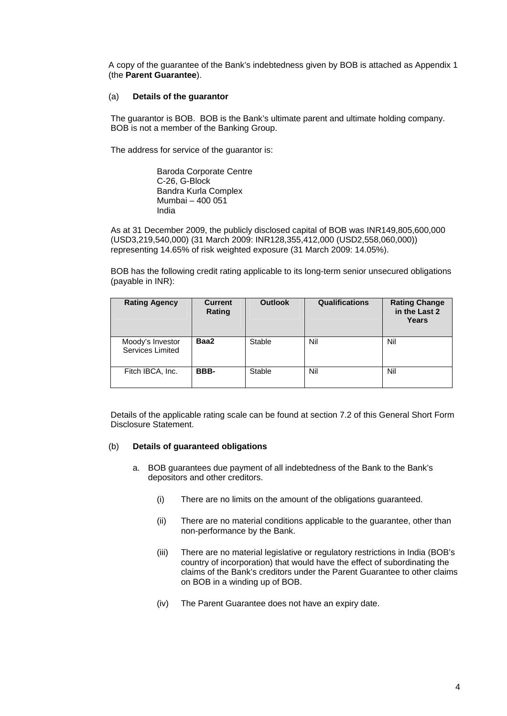A copy of the guarantee of the Bank's indebtedness given by BOB is attached as Appendix 1 (the **Parent Guarantee**).

#### (a) **Details of the guarantor**

The guarantor is BOB. BOB is the Bank's ultimate parent and ultimate holding company. BOB is not a member of the Banking Group.

The address for service of the guarantor is:

Baroda Corporate Centre C-26, G-Block Bandra Kurla Complex Mumbai – 400 051 India

As at 31 December 2009, the publicly disclosed capital of BOB was INR149,805,600,000 (USD3,219,540,000) (31 March 2009: INR128,355,412,000 (USD2,558,060,000)) representing 14.65% of risk weighted exposure (31 March 2009: 14.05%).

BOB has the following credit rating applicable to its long-term senior unsecured obligations (payable in INR):

| <b>Rating Agency</b>                 | <b>Current</b><br>Rating | <b>Outlook</b> | <b>Qualifications</b> | <b>Rating Change</b><br>in the Last 2<br>Years |
|--------------------------------------|--------------------------|----------------|-----------------------|------------------------------------------------|
| Moody's Investor<br>Services Limited | Baa2                     | Stable         | Nil                   | Nil                                            |
| Fitch IBCA, Inc.                     | BBB-                     | Stable         | Nil                   | Nil                                            |

Details of the applicable rating scale can be found at section [7.2](#page-9-3) of this General Short Form Disclosure Statement.

### (b) **Details of guaranteed obligations**

- a. BOB guarantees due payment of all indebtedness of the Bank to the Bank's depositors and other creditors.
	- (i) There are no limits on the amount of the obligations guaranteed.
	- (ii) There are no material conditions applicable to the guarantee, other than non-performance by the Bank.
	- (iii) There are no material legislative or regulatory restrictions in India (BOB's country of incorporation) that would have the effect of subordinating the claims of the Bank's creditors under the Parent Guarantee to other claims on BOB in a winding up of BOB.
	- (iv) The Parent Guarantee does not have an expiry date.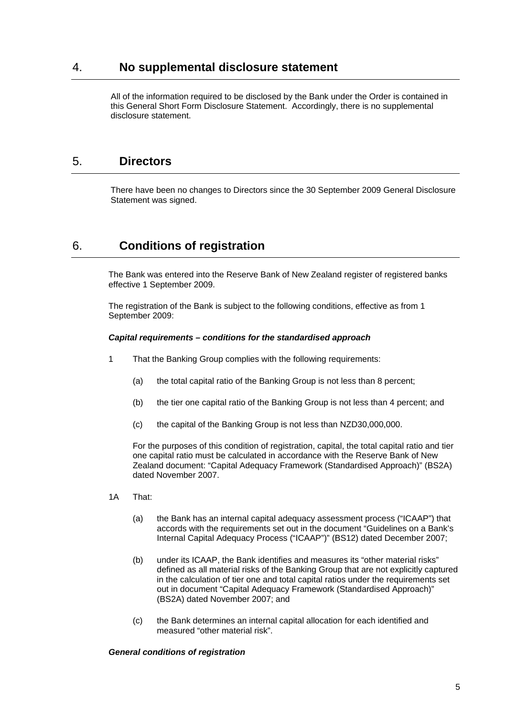### <span id="page-5-0"></span>4. **No supplemental disclosure statement**

All of the information required to be disclosed by the Bank under the Order is contained in this General Short Form Disclosure Statement. Accordingly, there is no supplemental disclosure statement.

## <span id="page-5-1"></span>5. **Directors**

There have been no changes to Directors since the 30 September 2009 General Disclosure Statement was signed.

## <span id="page-5-2"></span>6. **Conditions of registration**

The Bank was entered into the Reserve Bank of New Zealand register of registered banks effective 1 September 2009.

The registration of the Bank is subject to the following conditions, effective as from 1 September 2009:

#### *Capital requirements – conditions for the standardised approach*

- 1 That the Banking Group complies with the following requirements:
	- (a) the total capital ratio of the Banking Group is not less than 8 percent;
	- (b) the tier one capital ratio of the Banking Group is not less than 4 percent; and
	- (c) the capital of the Banking Group is not less than NZD30,000,000.

For the purposes of this condition of registration, capital, the total capital ratio and tier one capital ratio must be calculated in accordance with the Reserve Bank of New Zealand document: "Capital Adequacy Framework (Standardised Approach)" (BS2A) dated November 2007.

- 1A That:
	- (a) the Bank has an internal capital adequacy assessment process ("ICAAP") that accords with the requirements set out in the document "Guidelines on a Bank's Internal Capital Adequacy Process ("ICAAP")" (BS12) dated December 2007;
	- (b) under its ICAAP, the Bank identifies and measures its "other material risks" defined as all material risks of the Banking Group that are not explicitly captured in the calculation of tier one and total capital ratios under the requirements set out in document "Capital Adequacy Framework (Standardised Approach)" (BS2A) dated November 2007; and
	- (c) the Bank determines an internal capital allocation for each identified and measured "other material risk".

#### *General conditions of registration*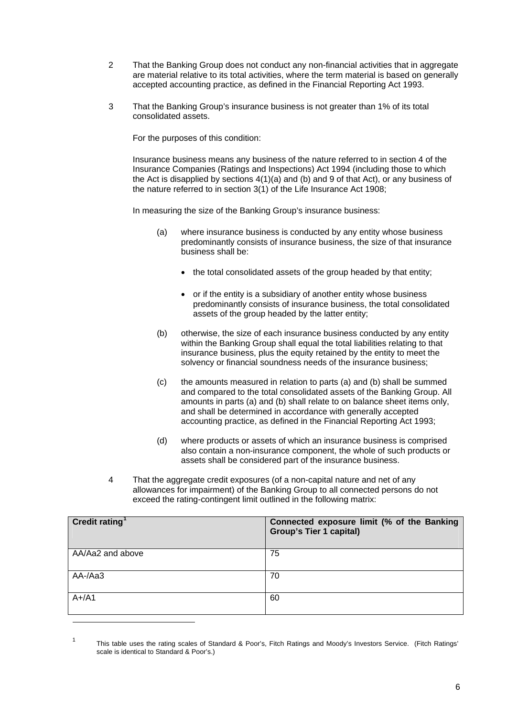- 2 That the Banking Group does not conduct any non-financial activities that in aggregate are material relative to its total activities, where the term material is based on generally accepted accounting practice, as defined in the Financial Reporting Act 1993.
- 3 That the Banking Group's insurance business is not greater than 1% of its total consolidated assets.

For the purposes of this condition:

Insurance business means any business of the nature referred to in section 4 of the Insurance Companies (Ratings and Inspections) Act 1994 (including those to which the Act is disapplied by sections  $4(1)(a)$  and (b) and 9 of that Act), or any business of the nature referred to in section 3(1) of the Life Insurance Act 1908;

In measuring the size of the Banking Group's insurance business:

- (a) where insurance business is conducted by any entity whose business predominantly consists of insurance business, the size of that insurance business shall be:
	- the total consolidated assets of the group headed by that entity;
	- or if the entity is a subsidiary of another entity whose business predominantly consists of insurance business, the total consolidated assets of the group headed by the latter entity;
- (b) otherwise, the size of each insurance business conducted by any entity within the Banking Group shall equal the total liabilities relating to that insurance business, plus the equity retained by the entity to meet the solvency or financial soundness needs of the insurance business;
- (c) the amounts measured in relation to parts (a) and (b) shall be summed and compared to the total consolidated assets of the Banking Group. All amounts in parts (a) and (b) shall relate to on balance sheet items only, and shall be determined in accordance with generally accepted accounting practice, as defined in the Financial Reporting Act 1993;
- (d) where products or assets of which an insurance business is comprised also contain a non-insurance component, the whole of such products or assets shall be considered part of the insurance business.
- 4 That the aggregate credit exposures (of a non-capital nature and net of any allowances for impairment) of the Banking Group to all connected persons do not exceed the rating-contingent limit outlined in the following matrix:

| Credit rating <sup>1</sup> | Connected exposure limit (% of the Banking<br><b>Group's Tier 1 capital)</b> |
|----------------------------|------------------------------------------------------------------------------|
| AA/Aa2 and above           | 75                                                                           |
| AA-/Aa3                    | 70                                                                           |
| $A+/A1$                    | 60                                                                           |

<span id="page-6-0"></span><sup>1</sup> This table uses the rating scales of Standard & Poor's, Fitch Ratings and Moody's Investors Service. (Fitch Ratings' scale is identical to Standard & Poor's.)

1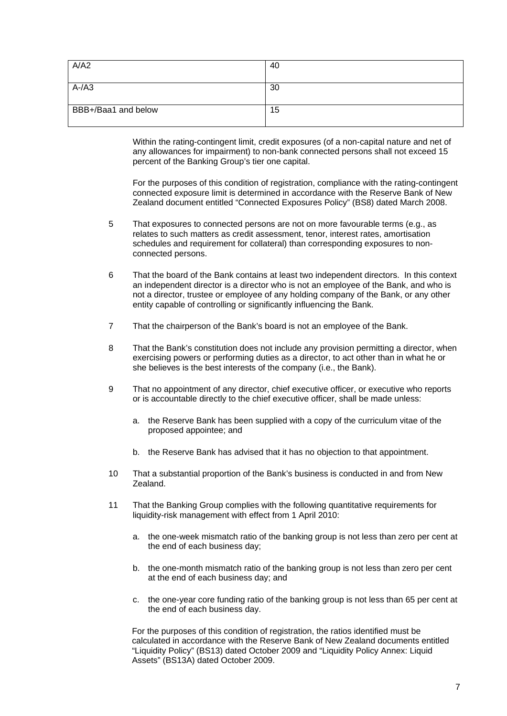| A/A2                | 40 |
|---------------------|----|
|                     |    |
| $A-A3$              | 30 |
| BBB+/Baa1 and below | 15 |

Within the rating-contingent limit, credit exposures (of a non-capital nature and net of any allowances for impairment) to non-bank connected persons shall not exceed 15 percent of the Banking Group's tier one capital.

For the purposes of this condition of registration, compliance with the rating-contingent connected exposure limit is determined in accordance with the Reserve Bank of New Zealand document entitled "Connected Exposures Policy" (BS8) dated March 2008.

- 5 That exposures to connected persons are not on more favourable terms (e.g., as relates to such matters as credit assessment, tenor, interest rates, amortisation schedules and requirement for collateral) than corresponding exposures to nonconnected persons.
- 6 That the board of the Bank contains at least two independent directors. In this context an independent director is a director who is not an employee of the Bank, and who is not a director, trustee or employee of any holding company of the Bank, or any other entity capable of controlling or significantly influencing the Bank.
- 7 That the chairperson of the Bank's board is not an employee of the Bank.
- 8 That the Bank's constitution does not include any provision permitting a director, when exercising powers or performing duties as a director, to act other than in what he or she believes is the best interests of the company (i.e., the Bank).
- 9 That no appointment of any director, chief executive officer, or executive who reports or is accountable directly to the chief executive officer, shall be made unless:
	- a. the Reserve Bank has been supplied with a copy of the curriculum vitae of the proposed appointee; and
	- b. the Reserve Bank has advised that it has no objection to that appointment.
- 10 That a substantial proportion of the Bank's business is conducted in and from New Zealand.
- 11 That the Banking Group complies with the following quantitative requirements for liquidity-risk management with effect from 1 April 2010:
	- a. the one-week mismatch ratio of the banking group is not less than zero per cent at the end of each business day;
	- b. the one-month mismatch ratio of the banking group is not less than zero per cent at the end of each business day; and
	- c. the one-year core funding ratio of the banking group is not less than 65 per cent at the end of each business day.

For the purposes of this condition of registration, the ratios identified must be calculated in accordance with the Reserve Bank of New Zealand documents entitled "Liquidity Policy" (BS13) dated October 2009 and "Liquidity Policy Annex: Liquid Assets" (BS13A) dated October 2009.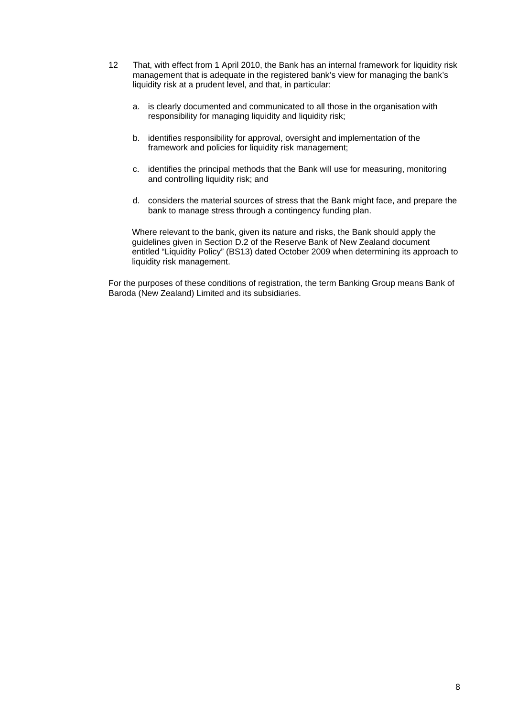- 12 That, with effect from 1 April 2010, the Bank has an internal framework for liquidity risk management that is adequate in the registered bank's view for managing the bank's liquidity risk at a prudent level, and that, in particular:
	- a. is clearly documented and communicated to all those in the organisation with responsibility for managing liquidity and liquidity risk;
	- b. identifies responsibility for approval, oversight and implementation of the framework and policies for liquidity risk management;
	- c. identifies the principal methods that the Bank will use for measuring, monitoring and controlling liquidity risk; and
	- d. considers the material sources of stress that the Bank might face, and prepare the bank to manage stress through a contingency funding plan.

Where relevant to the bank, given its nature and risks, the Bank should apply the guidelines given in Section D.2 of the Reserve Bank of New Zealand document entitled "Liquidity Policy" (BS13) dated October 2009 when determining its approach to liquidity risk management.

For the purposes of these conditions of registration, the term Banking Group means Bank of Baroda (New Zealand) Limited and its subsidiaries.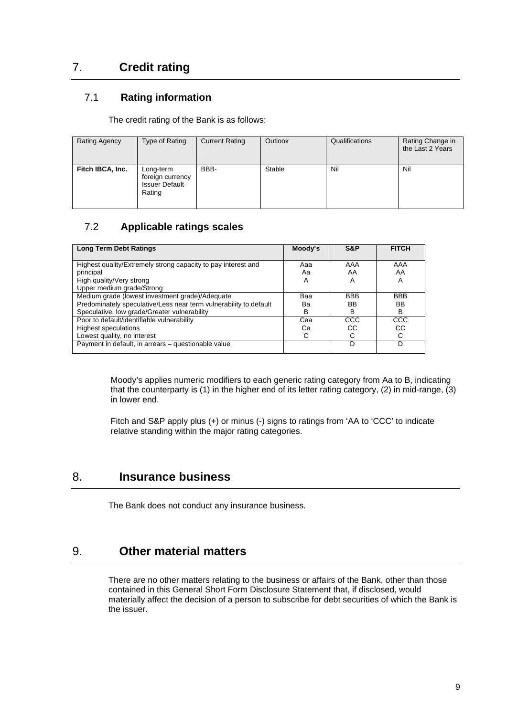## <span id="page-9-0"></span>7. **Credit rating**

### 7.1 **Rating information**

The credit rating of the Bank is as follows:

| <b>Rating Agency</b> | Type of Rating                                                   | <b>Current Rating</b> | Outlook | Qualifications | Rating Change in<br>the Last 2 Years |
|----------------------|------------------------------------------------------------------|-----------------------|---------|----------------|--------------------------------------|
| Fitch IBCA, Inc.     | Long-term<br>foreign currency<br><b>Issuer Default</b><br>Rating | BBB-                  | Stable  | Nil            | Nil                                  |

## 7.2 **Applicable ratings scales**

<span id="page-9-3"></span>

| <b>Long Term Debt Ratings</b>                                     | Moody's | S&P        | <b>FITCH</b> |
|-------------------------------------------------------------------|---------|------------|--------------|
|                                                                   |         |            |              |
| Highest quality/Extremely strong capacity to pay interest and     | Ааа     | AAA        | AAA          |
| principal                                                         | Aа      | AA         | AA           |
| High quality/Very strong                                          | A       | A          | A            |
| Upper medium grade/Strong                                         |         |            |              |
| Medium grade (lowest investment grade)/Adequate                   | Baa     | <b>BBB</b> | <b>BBB</b>   |
| Predominately speculative/Less near term vulnerability to default | Bа      | BB         | <b>BB</b>    |
| Speculative, low grade/Greater vulnerability                      | в       | в          | в            |
| Poor to default/identifiable vulnerability                        | Caa     | CCC        | CCC          |
| <b>Highest speculations</b>                                       | Cа      | СC         | CС           |
| Lowest quality, no interest                                       |         |            |              |
| Payment in default, in arrears - questionable value               |         | D          | D            |
|                                                                   |         |            |              |

Moody's applies numeric modifiers to each generic rating category from Aa to B, indicating that the counterparty is (1) in the higher end of its letter rating category, (2) in mid-range, (3) in lower end.

Fitch and S&P apply plus (+) or minus (-) signs to ratings from 'AA to 'CCC' to indicate relative standing within the major rating categories.

## <span id="page-9-1"></span>8. **Insurance business**

The Bank does not conduct any insurance business.

## <span id="page-9-2"></span>9. **Other material matters**

There are no other matters relating to the business or affairs of the Bank, other than those contained in this General Short Form Disclosure Statement that, if disclosed, would materially affect the decision of a person to subscribe for debt securities of which the Bank is the issuer.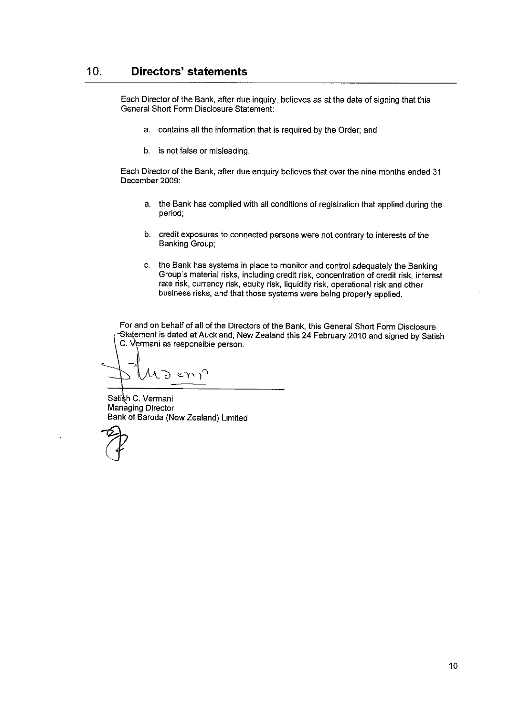Each Director of the Bank, after due inquiry, believes as at the date of signing that this General Short Form Disclosure Statement:

- a. contains all the information that is required by the Order; and
- b. is not false or misleading.

Each Director of the Bank, after due enquiry believes that over the nine months ended 31 December 2009:

- a. the Bank has complied with all conditions of registration that applied during the period:
- b. credit exposures to connected persons were not contrary to interests of the **Banking Group:**
- c. the Bank has systems in place to monitor and control adequately the Banking Group's material risks, including credit risk, concentration of credit risk, interest rate risk, currency risk, equity risk, liquidity risk, operational risk and other business risks, and that those systems were being properly applied.

For and on behalf of all of the Directors of the Bank, this General Short Form Disclosure Statement is dated at Auckland, New Zealand this 24 February 2010 and signed by Satish C. Vermani as responsible person.

モハー

Satish C. Vermani Managing Director Bank of Baroda (New Zealand) Limited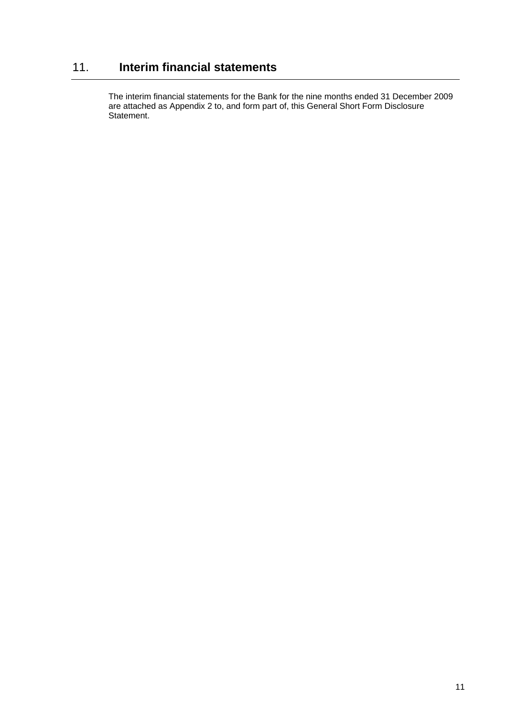# <span id="page-11-0"></span>11. **Interim financial statements**

The interim financial statements for the Bank for the nine months ended 31 December 2009 are attached as Appendix 2 to, and form part of, this General Short Form Disclosure Statement.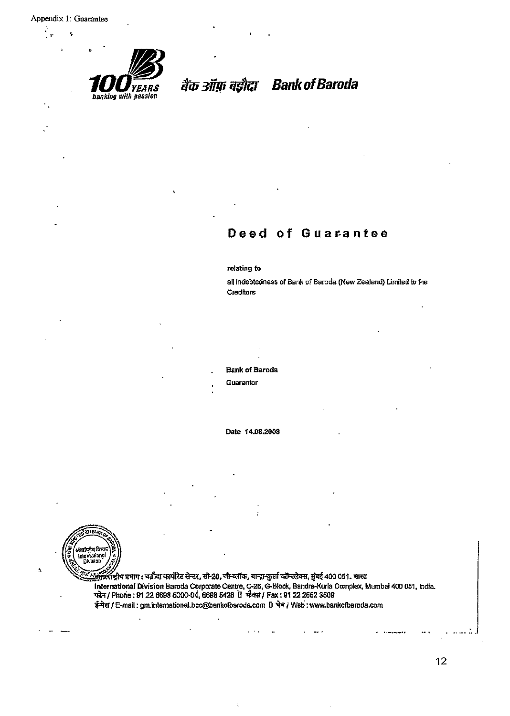J,



# बैंक ऑफ़ बड़ौदा Bank of Baroda

### Deed of Guarantee

#### relating to

all indebtedness of Bank of Baroda (New Zealand) Limited to the Creditors

**Bank of Baroda** 

Guarantor

Date 14.08.2008



 $\boldsymbol{\gamma}$ 

....<br>....अन्दर्शास्त्रीय प्रभाग : बडौदा कार्पोरेट सेन्टर, सो-28, जी-ब्लॉक, बान्द्रा-कुर्ला कॉम्पलेक्स, मुंबई 400 051. भारत International Division Baroda Corporate Centre, C-26, G-Block, Bandra-Kurla Complex, Mumbal 400 051, India.<br>फोन / Phone : 91 22 6698 5000-04, 6698 5426 ปี फेक्स / Fax : 91 22 2652 3509 ई-मेल / E-mail : gm.international.bcc@bankofbaroda.com [] चेब / Web : www.bankofbaroda.com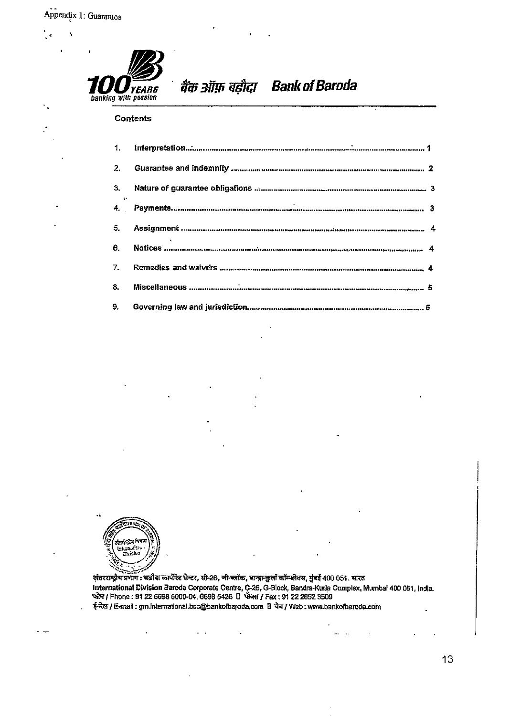×,

 $\mathcal{A}$ 



बैंक ऑफ़ बड़ौदा Bank of Baroda

### **Contents**

| 1.                    |                                                                                       |  |
|-----------------------|---------------------------------------------------------------------------------------|--|
| 2.                    | Guarantee and indemnity <i>communical communication communication</i> communication 2 |  |
| 3.<br><b>Contract</b> |                                                                                       |  |
|                       |                                                                                       |  |
| 5.                    |                                                                                       |  |
| 6.                    |                                                                                       |  |
| 7.                    | Remedies and waivers monumeration and communication in an entrepresentation 4         |  |
| 8.                    |                                                                                       |  |
| 9.                    |                                                                                       |  |



अंतरराष्ट्रीय प्रभाग : बडीदा कार्पोरेट सेन्टर, सी-26, जी-ब्लॉक, बान्द्रा-कुर्ला कॉम्पलेक्स, मुंबई 400 051. भारत International Division Baroda Corporate Centre, C-26, G-Block, Bandra-Kurla Complex, Mumbai 400 051, India.<br>
"Rift" / Phone : 91 22 6698 5000-04, 6698 5426 [] "Rift" / Fax : 91 22 2652 3509 ई-मेल / E-mail: grn.international.bcc@bankofbaroda.com 1 चेन / Web: www.bankofbaroda.com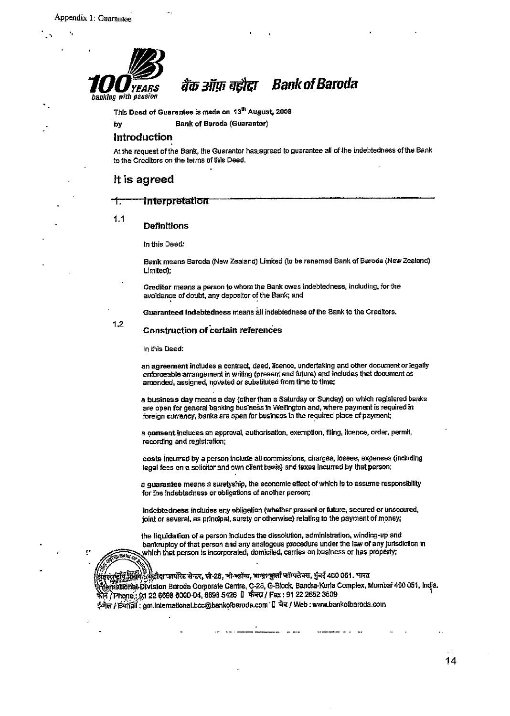

#### **Bank of Baroda** बैंक ऑफ़ बड़ौदा

This Deed of Guarantee is made on 13<sup>th</sup> August, 2008

**Bank of Baroda (Guarantor)** 

#### Introduction

At the request of the Bank, the Guarantor has agreed to guarantee all of the indebtedness of the Bank to the Creditors on the terms of this Deed.

### It is agreed

#### **Interpretation** ←

 $1.1$ 

by

#### **Definitions**

In this Deed:

Bank means Baroda (New Zealand) Limited (to be renamed Bank of Baroda (New Zealand) Limited).

Creditor means a person to whom the Bank owes indebtedness, including, for the avoidance of doubt, any depositor of the Bank; and

Guaranteed Indebtedness means all indebtedness of the Bank to the Creditors.

 $1.2$ 

ŗ,

#### **Construction of certain references**

In this Deed:

an agreement includes a contract, deed, licence, undertaking and other document or legally enforceable arrangement in writing (present and future) and includes that document as amended, assigned, novated or substituted from time to time;

a business day means a day (other than a Saturday or Sunday) on which registered banks are open for general banking business in Wellington and, where payment is required in foreign currency, banks are open for business in the required place of payment;

a consent includes an approval, authorisation, exemption, filing, licence, order, permit, recording and registration;

costs incurred by a person include all commissions, charges, losses, expenses (including legal fees on a solicitor and own client basis) and taxes incurred by that person;

a guarantee means a suretyship, the economic effect of which is to assume responsibility for the indebtedness or obligations of another person;

indebtedness includes any obligation (whether present or future, secured or unsecured, joint or several, as principal, surety or otherwise) relating to the payment of money;

the liquidation of a person includes the dissolution, administration, winding-up and bankruptcy of that person and any analogous procedure under the law of any jurisdiction in which that person is incorporated, domiciled, carries on business or has property:

भींग) रस्त्रिडीदा कार्पोरेट सेन्टर, सी-26, जी-व्लॉक, बान्द्रा-क्षलो कॉम्पलेक्स, मुंबई 400 051. भारत (ernatldmat Division Beroda Corporate Centre, C-26, G-Block, Bandra-Kurla Complex, Mumbai 400 051, India. फोन / Phone : 91 22 6698 5000-04, 6698 5426 । फैक्स / Fax : 91 22 2652 3509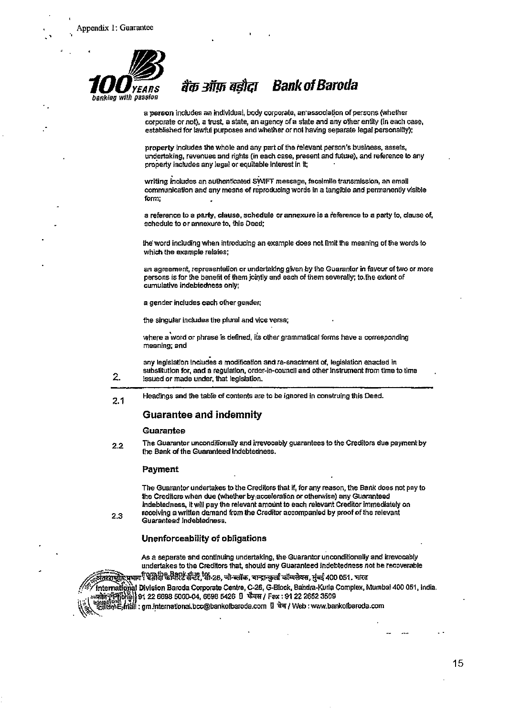

#### **Bank of Baroda** बैंक ऑफ़ बडौदा

a person includes an individual, body corporate, an association of persons (whether corporate or not), a trust, a state, an agency of a state and any other entity (in each case, established for lawful purposes and whether or not having separate legal personality);

property includes the whole and any part of the relevant person's business, assets, undertaking, revenues and rights (in each case, present and future), and reference to any property includes any legal or equitable interest in it;

writing includes an authenticated SWIFT message, facsimile transmission, an email communication and any means of reproducing words in a tangible and permanently visible form:

a reference to a party, clause, schedule or annexure is a reference to a party to, clause of, schedule to or annexure to, this Deed:

the word including when introducing an example does not limit the meaning of the words to which the example relates;

an agreement, representation or undertaking given by the Guarantor in favour of two or more persons is for the benefit of them jointly and each of them severally; to the extent of cumulative indebtedness only;

a gender includes each other gender;

the singular includes the plural and vice versa;

where a word or phrase is defined, its other grammatical forms have a corresponding meaning; and

any legislation includes a modification and re-enactment of, legislation enacted in substitution for, and a requiation, order-in-council and other instrument from time to time issued or made under, that legislation.

Headings and the table of contents are to be ignored in construing this Deed.  $2.1$ 

### **Guarantee and indemnity**

#### Guarantee

 $\overline{2}$ .

2.3

The Guarantor unconditionally and irrevocably guarantees to the Creditors due payment by  $2.2$ the Bank of the Guaranteed Indebtedness.

#### Payment

The Guarantor undertakes to the Creditors that if, for any reason, the Bank does not pay to the Creditors when due (whether by acceleration or otherwise) any Guaranteed Indebtedness, it will pay the relevant amount to each relevant Creditor immediately on receiving a written demand from the Creditor accompanied by proof of the relevant Guaranteed Indebtedness.

Unenforceability of obligations

As a separate and continuing undertaking, the Guarantor unconditionally and irrevocably undertakes to the Creditors that, should any Guaranteed Indebtedness not be recoverable

→<br>अन्तर्क्षमुख्या Division Baroda Corporate Centre, C-26, G-Block, Bandra-Kurla Complex, Mumbal 400 051, India.<br>เหลือที่ตาย 13 | 91 22 6698 5000-04, 6698 5426 ปี फेवस / Fax : 91 22 2652 3509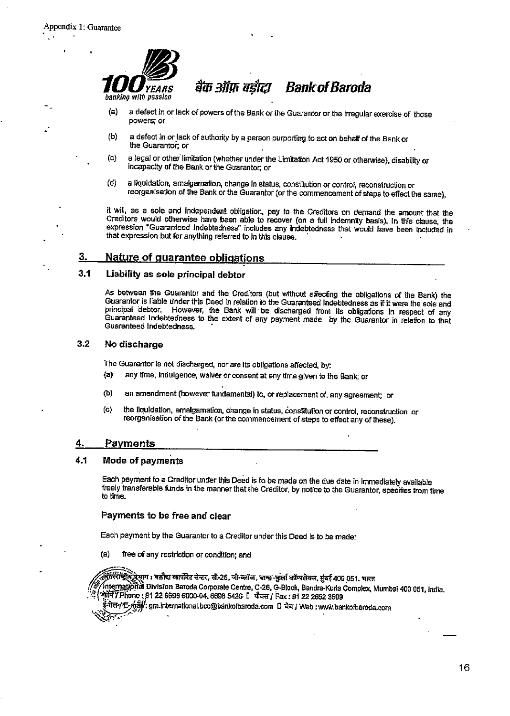

- a defect in or lack of powers of the Bank or the Guarantor or the irregular exercise of those  $(a)$ powers; or
- a defect in or lack of authority by a person purporting to act on behalf of the Bank or  $(b)$ the Guarantor, or
- a legal or other limitation (whether under the Limitation Act 1950 or otherwise), disability or  $(c)$ incapacity of the Bank or the Guarantor; or
- (d) a liquidation, amalgamation, change in status, constitution or control, reconstruction or reorganisation of the Bank or the Guarantor (or the commencement of steps to effect the same),

it will, as a sole and independent obligation, pay to the Creditors on demand the amount that the Creditors would otherwise have been able to recover (on a full indemnity basis). In this clause, the expression "Guaranteed Indebtedness" includes any indebtedness that would have been included in that expression but for anything referred to in this clause.

#### 3. Nature of quarantee oblications

#### $3.1$ Liability as sole principal debtor

As between the Guarantor and the Creditors (but without affecting the obligations of the Bank) the Guarantor is liable under this Deed in relation to the Guaranteed Indebtedness as if it were the sole and principal debtor. However, the Bank will be discharged from its obligations in respect of any Guaranteed Indebtedness to the extent of any payment made by the Guarantor in relation to that Guaranteed Indebtedness.

#### $3.2$ No discharge

The Guarantor is not discharged, nor are its obligations affected, by:

- any time, indulgence, waiver or consent at any time given to the Bank; or  $(a)$
- an amendment (however fundamental) to, or replacement of, any agreement; or (b)
- $\mathbf{(c)}$ the liquidation, amalgamation, change in status, constitution or control, reconstruction or reorganisation of the Bank (or the commencement of steps to effect any of these).

#### Payments 4.

#### 4.1 Mode of payments

Each payment to a Creditor under this Deed is to be made on the due date in immediately available freely transferable funds in the manner that the Creditor, by notice to the Guarantor, specifies from time to time.

#### Payments to be free and clear

Each payment by the Guarantor to a Creditor under this Deed is to be made:

free of any restriction or condition; and (a)

फ़िंस्रीयं<u>ध्रोयुं प्रे</u>भाग : बडौदा कार्पोरेट सेन्टर, सो-26, जो-कॉल, बान्द्रा-कुर्ला कॉम्पलेक्स, मुंबई 400 051. भारत International Division Baroda Corporate Centre, C-26, G-Block, Bandra-Kurla Complex, Mumbai 400 051, India. अंज़ीन / Phone: 91 22 6698 5000-04, 6698 5426 1 फैबस / Fax: 91 22 2652 3509

सेल-/ E-mail): gm.international.bcc@bankofbaroda.com 0 वेब / Web : www.bankofbaroda.com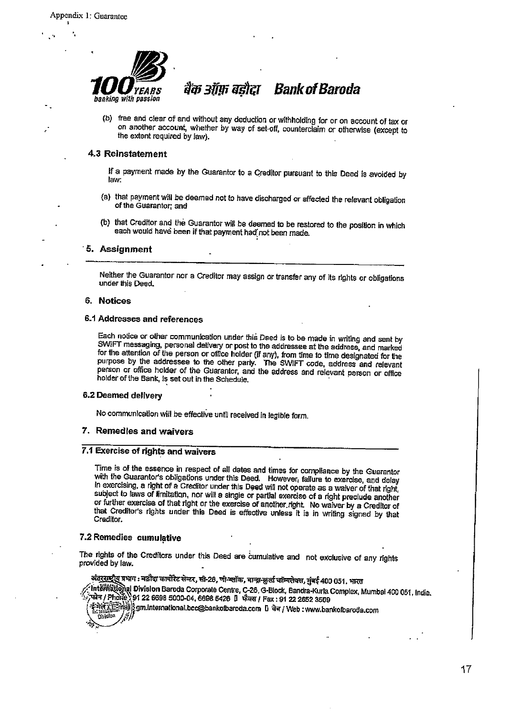

# बैंक ऑफ़ बड़ौदा Bank of Baroda

(b) free and clear of and without any deduction or withholding for or on account of tax or on another account, whether by way of set-off, counterclaim or otherwise (except to the extent required by law).

### 4.3 Reinstatement

If a payment made by the Guarantor to a Creditor pursuant to this Deed is avoided by law:

- (a) that payment will be deemed not to have discharged or affected the relevant obligation of the Guarantor: and
- (b) that Creditor and the Guarantor will be deemed to be restored to the position in which each would have been if that payment had not been made.

#### 5. Assignment

Neither the Guarantor nor a Creditor may assign or transfer any of its rights or obligations under this Deed.

#### 6. Notices

#### 6.1 Addresses and references

Each notice or other communication under this Deed is to be made in writing and sent by SWIFT messaging, personal delivery or post to the addressee at the address, and marked for the attention of the person or office holder (if any), from time to time designated for the purpose by the addressee to the other party. The SWIFT code, address and relevant person or office holder of the Guarantor, and the address and relevant person or office holder of the Bank, is set out in the Schedule.

#### 6.2 Deemed delivery

No communication will be effective until received in legible form.

#### 7. Remedies and waivers

#### 7.1 Exercise of rights and waivers

Time is of the essence in respect of all dates and times for compliance by the Guarantor with the Guarantor's obligations under this Deed. However, failure to exercise, and delay In exercising, a right of a Creditor under this Deed will not operate as a waiver of that right, subject to laws of limitation, nor will a single or partial exercise of a right preclude another or further exercise of that right or the exercise of another right. No waiver by a Creditor of that Creditor's rights under this Deed is effective unless it is in writing signed by that Creditor.

#### 7.2 Remedies cumulative

The rights of the Creditors under this Deed are cumulative and not exclusive of any rights provided by law.

अंतरराष्ट्रीय प्रभाग : बडौदा कार्पोरेट सेन्टर, सी-26, णी-व्लॉक, चान्द्रा-कुर्ला कॉम्पलेक्स, मुंबई 400 051, भारत

Interfrational Division Baroda Corporate Centre, C-26, G-Block, Bandra-Kurla Complex, Mumbal 400 051, India. , फोन / Phone) 91 22 6698 5000-04, 6698 5426 1 फेबस / Fax : 91 22 2652 3509

्रभारत (संस्थानि) है।<br>संस्कृति संस्कृति के सामान्य set and set of the set of the set of the set of the set of the set of the set of t<br>set of the set of the set of the set of the set of the set of the set of the set of th **Division**  $\tilde{z}$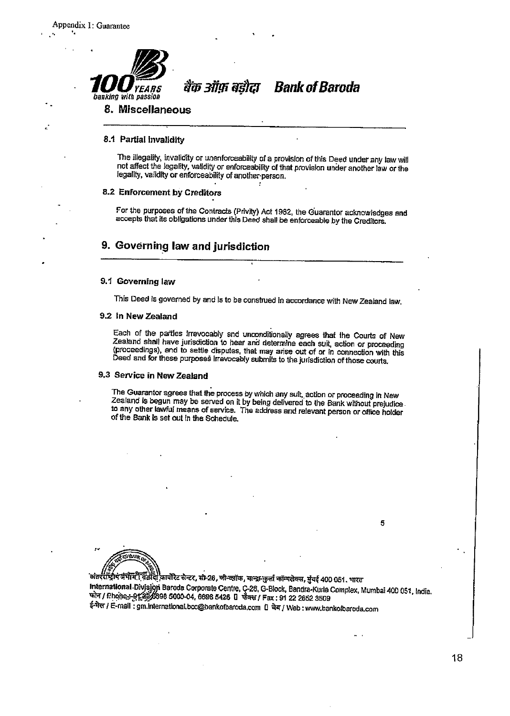

बैंक ऑफ़ बडोटा **Bank of Baroda** 

### 8. Miscellaneous

#### 8.1 Partial invalidity

The illegality, invalidity or unenforceability of a provision of this Deed under any law will not affect the legality, validity or enforceability of that provision under another law or the legality, validity or enforceability of another person.

#### 8.2 Enforcement by Creditors

For the purposes of the Contracts (Privity) Act 1982, the Guarantor acknowledges and accepts that its obligations under this Deed shall be enforceable by the Creditors.

### 9. Governing law and jurisdiction

#### 9.1 Governing law

This Deed is governed by and is to be construed in accordance with New Zealand law.

#### 9.2 In New Zealand

Each of the parties irrevocably and unconditionally agrees that the Courts of New Zealand shall have jurisdiction to hear and determine each suit, action or proceeding (proceedings), and to settle disputes, that may arise out of or in connection with this Deed and for these purposes irrevocably submits to the jurisdiction of those courts.

### 9.3 Service in New Zealand

The Guarantor agrees that the process by which any sult, action or proceeding in New Zealand is begun may be served on it by being delivered to the Bank without prejudice to any other lawful means of service. The address and relevant person or office holder of the Bank is set out in the Schedule.

`अंतररीड्रिय फ्रॅभीमें स्थिडीदे! कार्पोरेट सेन्टर, सो-26, जो-व्लॉक, बान्द्रा-कुर्ला कॉम्पलेक्स, मुंवई 400 051. भारत International Division Baroda Corporate Centre, C-26, G-Block, Bandra-Kurla Complex, Mumbai 400 051, India.<br>फोन / Phone: 912226698 5000-04, 6698 5426 U फोक्स / Fax : 91 22 2662 3509 ई-मेल / E-mail: gm.international.bcc@bankofbaroda.com [] वेब / Web : www.bankofbaroda.com

5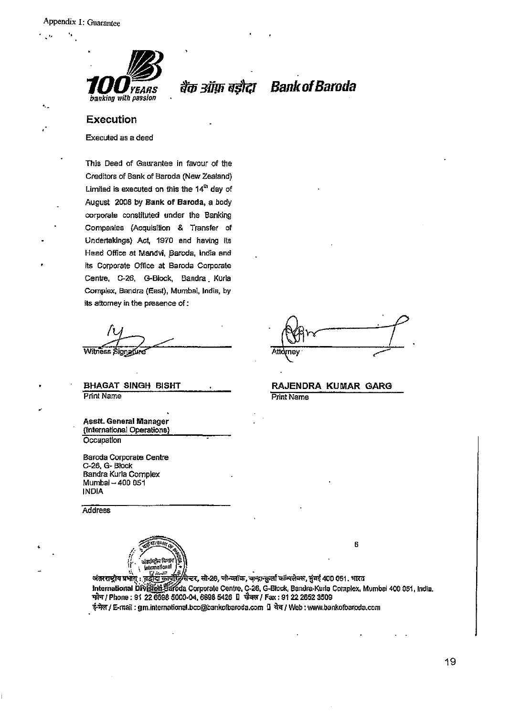$\bullet$ .



बैंक ऑफ़ बड़ौदा Bank of Baroda

#### Execution

Executed as a deed

This Deed of Gaurantee in favour of the Creditors of Bank of Baroda (New Zealand) Limited is executed on this the 14th day of August 2008 by Bank of Baroda, a body corporate constituted under the Banking Companies (Acquisition & Transfer of Undertakings) Act, 1970 and having its Head Office at Mandvi, Baroda, India and its Corporate Office at Baroda Corporate Centre, C-26, G-Block, Bandra Kurla Complex, Bandra (East), Mumbai, India, by its attorney in the presence of :

Witness Signature

**BHAGAT SINGH BISHT Print Name** 

Asstt. General Manager (International Operations) Occupation

Baroda Corporate Centre C-26, G-Block Bandra Kurla Complex Mumbai - 400 051 **INDIA** 

Address

ਬਾਰ ਦੇ International

Atto ne۱

RAJENDRA KUMAR GARG **Print Name** 

6

जंतरराष्ट्रीय प्रभागः । बहीदां जापूरिटरी स्टर, सी-26, जी-व्लॉक, बान्द्रा-क्रुली कॉम्पलेक्स, भुंबई 400 051. भारत<br>International Division Baroda Corporate Centre, C-26, G-Block, Bandra-Kurla Complex, Mumbai 400 051, India.<br>फ ई-मेल / E-mail : gm.international.bcc@bankofbaroda.com (1 चेव / Web : www.bankofbaroda.com

19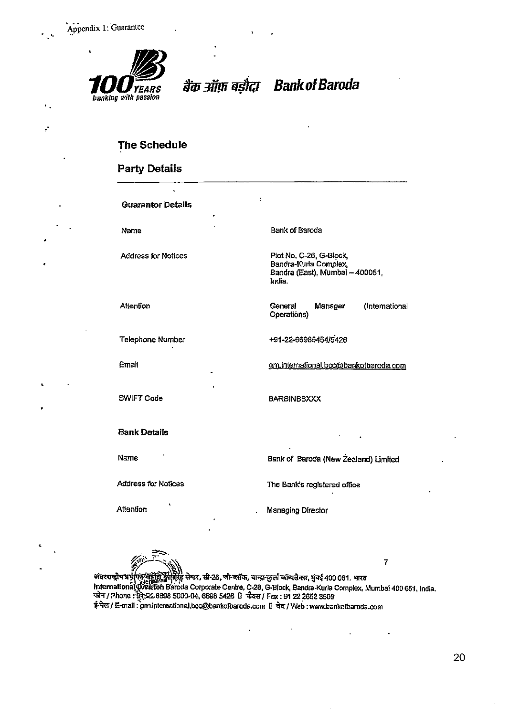¥



बैंक ऑफ़ बड़ौदा

**Bank of Baroda** 

### The Schedule

### **Party Details**

**Guarantor Details** 

Name

**Address for Notices** 

Attention

Telephone Number

Email

SWIFT Code

**Bank Details** 

Name

**Address for Notices** 

Attention

Bank of Baroda

Plot No. C-26, G-Block, Bandra-Kurla Complex, Bandra (East), Mumbai - 400051, India.

General Manager (International Operations)

+91-22-66985454/5426

gm.international.bcc@bankofbaroda.com

**BARBINBBXXX** 

Bank of Baroda (New Zealand) Limited

The Bank's registered office

Managing Director

 $\overline{7}$ अंतरराष्ट्रीय प्रभुंकिंक्ट नहीं की मीरिट सेन्टर, सी-26, जी-ब्लॉक, बान्द्रा-कुर्ला कॉम्पलेक्स, मुंबई 400 051. भारत The Transfer of High Barry Reports 20, 16 Strait, and Both Straits, 334 500 001. Fixthermational Updation Baroda Corporate Centre, C-28, G-Block, Bandra-Kurla Complex, Mumbai 400 051, India.<br>फोन / Phone : सूरे, 22.6698 50 ई-मेल / E-mail : gm.international.bcc@bankofbaroda.com [] वेब / Web : www.bankofbaroda.com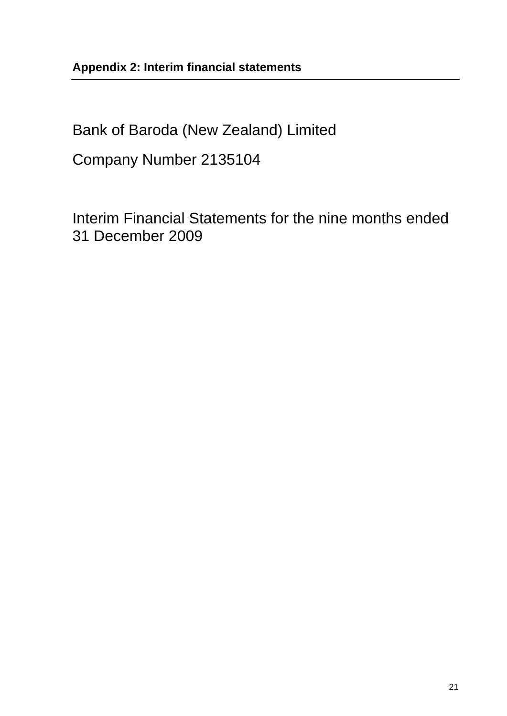Bank of Baroda (New Zealand) Limited

Company Number 2135104

Interim Financial Statements for the nine months ended 31 December 2009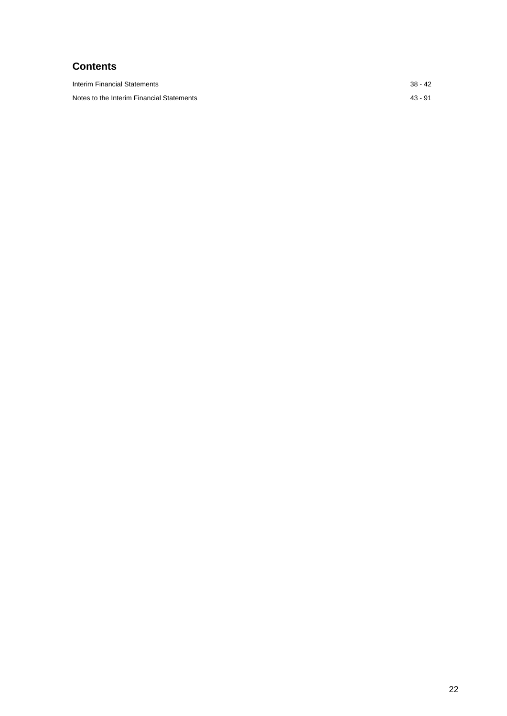## **Contents**

| Interim Financial Statements              | $38 - 42$ |
|-------------------------------------------|-----------|
| Notes to the Interim Financial Statements | $43 - 91$ |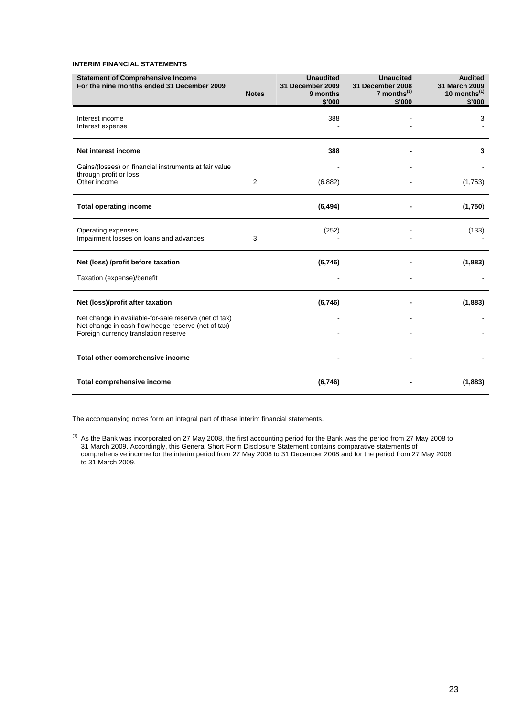#### **INTERIM FINANCIAL STATEMENTS**

| <b>Statement of Comprehensive Income</b><br>For the nine months ended 31 December 2009                                                              | <b>Notes</b> | <b>Unaudited</b><br>31 December 2009<br>9 months<br>\$'000 | <b>Unaudited</b><br>31 December 2008<br>7 months $(1)$<br>\$'000 | <b>Audited</b><br>31 March 2009<br>10 months $(1)$<br>\$'000 |
|-----------------------------------------------------------------------------------------------------------------------------------------------------|--------------|------------------------------------------------------------|------------------------------------------------------------------|--------------------------------------------------------------|
| Interest income<br>Interest expense                                                                                                                 |              | 388                                                        |                                                                  | 3                                                            |
| Net interest income                                                                                                                                 |              | 388                                                        |                                                                  | 3                                                            |
| Gains/(losses) on financial instruments at fair value<br>through profit or loss<br>Other income                                                     | 2            | (6,882)                                                    |                                                                  | (1,753)                                                      |
| <b>Total operating income</b>                                                                                                                       |              | (6, 494)                                                   |                                                                  | (1,750)                                                      |
| Operating expenses<br>Impairment losses on loans and advances                                                                                       | 3            | (252)                                                      |                                                                  | (133)                                                        |
| Net (loss) /profit before taxation                                                                                                                  |              | (6,746)                                                    |                                                                  | (1,883)                                                      |
| Taxation (expense)/benefit                                                                                                                          |              |                                                            |                                                                  |                                                              |
| Net (loss)/profit after taxation                                                                                                                    |              | (6,746)                                                    |                                                                  | (1,883)                                                      |
| Net change in available-for-sale reserve (net of tax)<br>Net change in cash-flow hedge reserve (net of tax)<br>Foreign currency translation reserve |              |                                                            |                                                                  |                                                              |
| Total other comprehensive income                                                                                                                    |              |                                                            |                                                                  |                                                              |
| Total comprehensive income                                                                                                                          |              | (6,746)                                                    |                                                                  | (1,883)                                                      |

The accompanying notes form an integral part of these interim financial statements.

 $<sup>(1)</sup>$  As the Bank was incorporated on 27 May 2008, the first accounting period for the Bank was the period from 27 May 2008 to</sup> 31 March 2009. Accordingly, this General Short Form Disclosure Statement contains comparative statements of comprehensive income for the interim period from 27 May 2008 to 31 December 2008 and for the period from 27 May 2008 to 31 March 2009.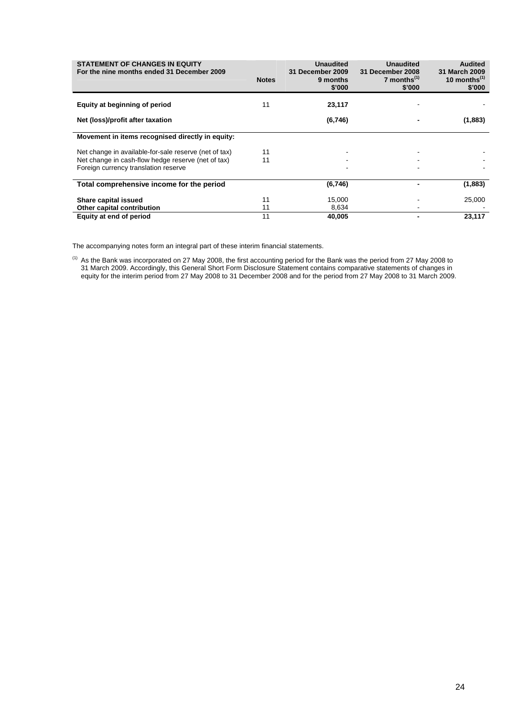| <b>STATEMENT OF CHANGES IN EQUITY</b><br>For the nine months ended 31 December 2009                                                                 | <b>Notes</b> | <b>Unaudited</b><br>31 December 2009<br>9 months<br>\$'000 | <b>Unaudited</b><br>31 December 2008<br>7 months $(1)$<br>\$'000 | <b>Audited</b><br><b>31 March 2009</b><br>10 months $(1)$<br>\$'000 |
|-----------------------------------------------------------------------------------------------------------------------------------------------------|--------------|------------------------------------------------------------|------------------------------------------------------------------|---------------------------------------------------------------------|
| Equity at beginning of period                                                                                                                       | 11           | 23,117                                                     |                                                                  |                                                                     |
| Net (loss)/profit after taxation                                                                                                                    |              | (6,746)                                                    |                                                                  | (1,883)                                                             |
| Movement in items recognised directly in equity:                                                                                                    |              |                                                            |                                                                  |                                                                     |
| Net change in available-for-sale reserve (net of tax)<br>Net change in cash-flow hedge reserve (net of tax)<br>Foreign currency translation reserve | 11<br>11     |                                                            |                                                                  |                                                                     |
| Total comprehensive income for the period                                                                                                           |              | (6,746)                                                    |                                                                  | (1,883)                                                             |
| Share capital issued<br>Other capital contribution                                                                                                  | 11<br>11     | 15,000<br>8,634                                            |                                                                  | 25,000                                                              |
| Equity at end of period                                                                                                                             | 11           | 40,005                                                     |                                                                  | 23,117                                                              |

The accompanying notes form an integral part of these interim financial statements.

 $<sup>(1)</sup>$  As the Bank was incorporated on 27 May 2008, the first accounting period for the Bank was the period from 27 May 2008 to</sup> 31 March 2009. Accordingly, this General Short Form Disclosure Statement contains comparative statements of changes in equity for the interim period from 27 May 2008 to 31 December 2008 and for the period from 27 May 2008 to 31 March 2009.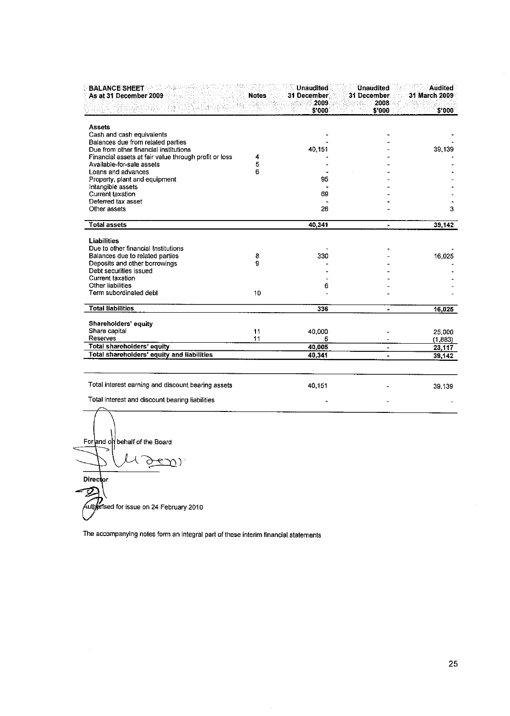| <b>BALANCE SHEET</b><br>As at 31 December 2009        | <b>Notes</b> | Unaudited<br>31 December<br>2009<br>\$ 000 | <b>Unaudited</b><br>31 December<br>2008<br>\$'000 | <b>Audited</b><br>31 March 2009<br>\$000 |
|-------------------------------------------------------|--------------|--------------------------------------------|---------------------------------------------------|------------------------------------------|
| <b>Assets</b>                                         |              |                                            |                                                   |                                          |
| Cash and cash equivalents                             |              |                                            |                                                   |                                          |
| Balances due from related parties                     |              |                                            |                                                   |                                          |
| Due from other financial institutions                 |              | 40.151                                     |                                                   | 39,139                                   |
| Financial assets at fair value through profit or loss | 4            |                                            |                                                   |                                          |
| Available-for-sale assets                             | 5            |                                            |                                                   |                                          |
| Loans and advances                                    | 6            |                                            |                                                   |                                          |
| Property, plant and equipment                         |              | 95                                         |                                                   |                                          |
| Intangible assets                                     |              |                                            |                                                   |                                          |
| Current taxation                                      |              | 69                                         |                                                   |                                          |
| Deferred tax asset                                    |              |                                            |                                                   |                                          |
| Other assets                                          |              | 26                                         |                                                   | 3                                        |
| <b>Total assets</b>                                   |              | 40.341                                     |                                                   | 39,142                                   |
| <b>Liabilities</b>                                    |              |                                            |                                                   |                                          |
| Due to other financial Institutions                   |              |                                            |                                                   |                                          |
| Balances due to related parties                       | 8            | 330                                        |                                                   | 16.025                                   |
| Deposits and other borrowings                         | g            |                                            |                                                   |                                          |
| Debt securities issued                                |              |                                            |                                                   |                                          |
| Current taxation                                      |              |                                            |                                                   |                                          |
| Other liabilities                                     |              | 6                                          |                                                   |                                          |
| Term subordinated debt                                | 10           |                                            |                                                   |                                          |
| <b>Total liabilities</b>                              |              | 336                                        |                                                   |                                          |
|                                                       |              |                                            |                                                   | 16,025                                   |
| Shareholders' equity                                  |              |                                            |                                                   |                                          |
| Share capital                                         | 11           | 40,000                                     |                                                   | 25,000                                   |
| Reserves                                              | 11           | 5                                          |                                                   | (1, 883)                                 |
| Total shareholders' equity                            |              | 40,005                                     |                                                   | 23,117                                   |
| Total shareholders' equity and liabilities            |              | 40.341                                     |                                                   | 39,142                                   |
|                                                       |              |                                            |                                                   |                                          |
| Total interest earning and discount bearing assets    |              | 40,151                                     |                                                   | 39.139                                   |
| Total interest and discount bearing liabilities       |              |                                            |                                                   |                                          |

For and on behalf of the Board ٦ ( ( Director D Authorised for issue on 24 February 2010

The accompanying notes form an integral part of these interim financial statements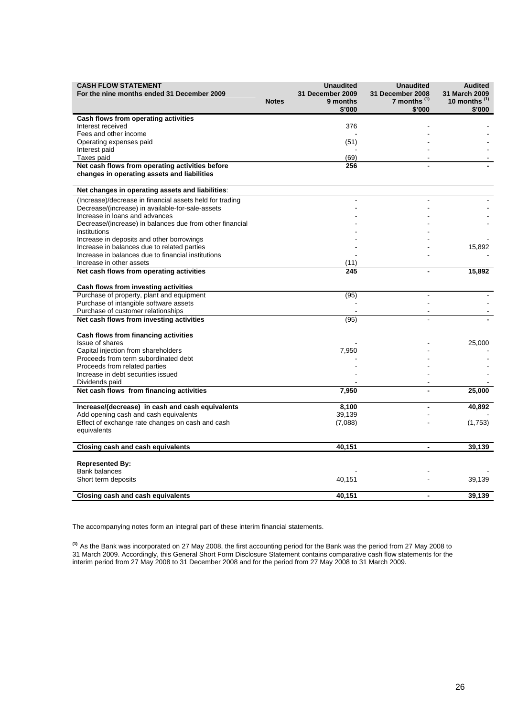| <b>CASH FLOW STATEMENT</b><br>For the nine months ended 31 December 2009                 | <b>Notes</b> | <b>Unaudited</b><br>31 December 2009<br>9 months<br>\$'000 | <b>Unaudited</b><br>31 December 2008<br>7 months <sup>(1)</sup><br>\$'000 | <b>Audited</b><br>31 March 2009<br>10 months $(1)$<br>\$'000 |
|------------------------------------------------------------------------------------------|--------------|------------------------------------------------------------|---------------------------------------------------------------------------|--------------------------------------------------------------|
| Cash flows from operating activities                                                     |              |                                                            |                                                                           |                                                              |
| Interest received                                                                        |              | 376                                                        |                                                                           |                                                              |
| Fees and other income                                                                    |              |                                                            |                                                                           |                                                              |
| Operating expenses paid                                                                  |              | (51)                                                       |                                                                           |                                                              |
| Interest paid                                                                            |              |                                                            |                                                                           |                                                              |
| Taxes paid                                                                               |              | (69)                                                       |                                                                           |                                                              |
| Net cash flows from operating activities before                                          |              | 256                                                        |                                                                           |                                                              |
| changes in operating assets and liabilities                                              |              |                                                            |                                                                           |                                                              |
| Net changes in operating assets and liabilities:                                         |              |                                                            |                                                                           |                                                              |
| (Increase)/decrease in financial assets held for trading                                 |              |                                                            | ÷.                                                                        |                                                              |
| Decrease/(increase) in available-for-sale-assets                                         |              |                                                            |                                                                           |                                                              |
| Increase in loans and advances                                                           |              |                                                            |                                                                           |                                                              |
| Decrease/(increase) in balances due from other financial                                 |              |                                                            |                                                                           |                                                              |
| institutions                                                                             |              |                                                            |                                                                           |                                                              |
| Increase in deposits and other borrowings<br>Increase in balances due to related parties |              |                                                            |                                                                           | 15,892                                                       |
| Increase in balances due to financial institutions                                       |              |                                                            |                                                                           |                                                              |
| Increase in other assets                                                                 |              | (11)                                                       |                                                                           |                                                              |
| Net cash flows from operating activities                                                 |              | 245                                                        | $\blacksquare$                                                            | 15,892                                                       |
| Cash flows from investing activities                                                     |              |                                                            |                                                                           |                                                              |
| Purchase of property, plant and equipment                                                |              | (95)                                                       | L,                                                                        |                                                              |
| Purchase of intangible software assets                                                   |              |                                                            |                                                                           |                                                              |
| Purchase of customer relationships                                                       |              |                                                            |                                                                           |                                                              |
| Net cash flows from investing activities                                                 |              | (95)                                                       |                                                                           |                                                              |
| Cash flows from financing activities                                                     |              |                                                            |                                                                           |                                                              |
| Issue of shares                                                                          |              |                                                            |                                                                           | 25,000                                                       |
| Capital injection from shareholders                                                      |              | 7,950                                                      |                                                                           |                                                              |
| Proceeds from term subordinated debt                                                     |              |                                                            |                                                                           |                                                              |
| Proceeds from related parties                                                            |              |                                                            |                                                                           |                                                              |
| Increase in debt securities issued                                                       |              |                                                            |                                                                           |                                                              |
| Dividends paid                                                                           |              |                                                            |                                                                           |                                                              |
| Net cash flows from financing activities                                                 |              | 7,950                                                      |                                                                           | 25,000                                                       |
| Increase/(decrease) in cash and cash equivalents                                         |              | 8,100                                                      |                                                                           | 40,892                                                       |
| Add opening cash and cash equivalents                                                    |              | 39,139                                                     |                                                                           |                                                              |
| Effect of exchange rate changes on cash and cash                                         |              | (7,088)                                                    |                                                                           | (1,753)                                                      |
| equivalents                                                                              |              |                                                            |                                                                           |                                                              |
| <b>Closing cash and cash equivalents</b>                                                 |              | 40,151                                                     | $\blacksquare$                                                            | 39,139                                                       |
| <b>Represented By:</b>                                                                   |              |                                                            |                                                                           |                                                              |
| <b>Bank balances</b>                                                                     |              |                                                            |                                                                           |                                                              |
| Short term deposits                                                                      |              | 40,151                                                     |                                                                           | 39,139                                                       |
| <b>Closing cash and cash equivalents</b>                                                 |              | 40,151                                                     |                                                                           | 39,139                                                       |

The accompanying notes form an integral part of these interim financial statements.

**(1)** As the Bank was incorporated on 27 May 2008, the first accounting period for the Bank was the period from 27 May 2008 to 31 March 2009. Accordingly, this General Short Form Disclosure Statement contains comparative cash flow statements for the interim period from 27 May 2008 to 31 December 2008 and for the period from 27 May 2008 to 31 March 2009.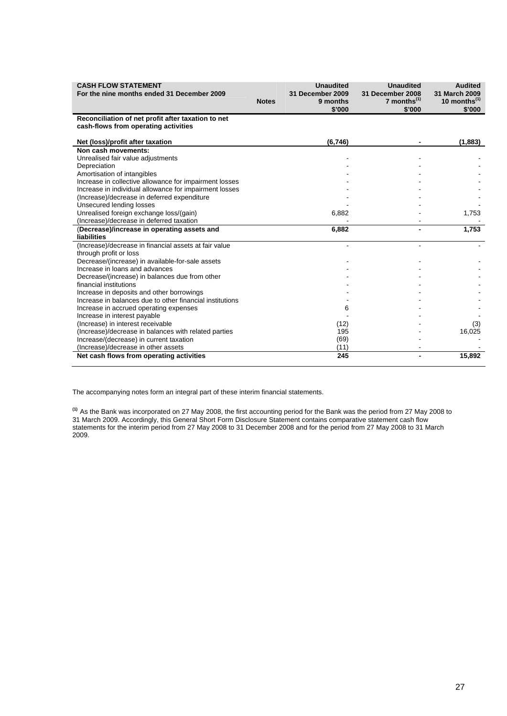| <b>CASH FLOW STATEMENT</b><br>For the nine months ended 31 December 2009                   | <b>Notes</b> | <b>Unaudited</b><br>31 December 2009<br>9 months<br>\$'000 | <b>Unaudited</b><br>31 December 2008<br>7 months $(1)$<br>\$'000 | <b>Audited</b><br>31 March 2009<br>10 months <sup>(1)</sup><br>\$'000 |
|--------------------------------------------------------------------------------------------|--------------|------------------------------------------------------------|------------------------------------------------------------------|-----------------------------------------------------------------------|
| Reconciliation of net profit after taxation to net<br>cash-flows from operating activities |              |                                                            |                                                                  |                                                                       |
| Net (loss)/profit after taxation                                                           |              | (6,746)                                                    |                                                                  | (1,883)                                                               |
| Non cash movements:                                                                        |              |                                                            |                                                                  |                                                                       |
| Unrealised fair value adjustments                                                          |              |                                                            |                                                                  |                                                                       |
| Depreciation                                                                               |              |                                                            |                                                                  |                                                                       |
| Amortisation of intangibles                                                                |              |                                                            |                                                                  |                                                                       |
| Increase in collective allowance for impairment losses                                     |              |                                                            |                                                                  |                                                                       |
| Increase in individual allowance for impairment losses                                     |              |                                                            |                                                                  |                                                                       |
| (Increase)/decrease in deferred expenditure                                                |              |                                                            |                                                                  |                                                                       |
| Unsecured lending losses                                                                   |              |                                                            |                                                                  |                                                                       |
| Unrealised foreign exchange loss/(gain)                                                    |              | 6,882                                                      |                                                                  | 1,753                                                                 |
| (Increase)/decrease in deferred taxation                                                   |              |                                                            |                                                                  |                                                                       |
| (Decrease)/increase in operating assets and                                                |              | 6,882                                                      |                                                                  | 1,753                                                                 |
| <b>liabilities</b>                                                                         |              |                                                            |                                                                  |                                                                       |
| (Increase)/decrease in financial assets at fair value                                      |              |                                                            |                                                                  |                                                                       |
| through profit or loss                                                                     |              |                                                            |                                                                  |                                                                       |
| Decrease/(increase) in available-for-sale assets                                           |              |                                                            |                                                                  |                                                                       |
| Increase in loans and advances                                                             |              |                                                            |                                                                  |                                                                       |
| Decrease/(increase) in balances due from other                                             |              |                                                            |                                                                  |                                                                       |
| financial institutions<br>Increase in deposits and other borrowings                        |              |                                                            |                                                                  |                                                                       |
| Increase in balances due to other financial institutions                                   |              |                                                            |                                                                  |                                                                       |
| Increase in accrued operating expenses                                                     |              | 6                                                          |                                                                  |                                                                       |
| Increase in interest payable                                                               |              |                                                            |                                                                  |                                                                       |
| (Increase) in interest receivable                                                          |              | (12)                                                       |                                                                  | (3)                                                                   |
| (Increase)/decrease in balances with related parties                                       |              | 195                                                        |                                                                  | 16,025                                                                |
| Increase/(decrease) in current taxation                                                    |              | (69)                                                       |                                                                  |                                                                       |
| (Increase)/decrease in other assets                                                        |              | (11)                                                       |                                                                  |                                                                       |
| Net cash flows from operating activities                                                   |              | 245                                                        |                                                                  | 15,892                                                                |
|                                                                                            |              |                                                            |                                                                  |                                                                       |

The accompanying notes form an integral part of these interim financial statements.

**(1)** As the Bank was incorporated on 27 May 2008, the first accounting period for the Bank was the period from 27 May 2008 to 31 March 2009. Accordingly, this General Short Form Disclosure Statement contains comparative statement cash flow statements for the interim period from 27 May 2008 to 31 December 2008 and for the period from 27 May 2008 to 31 March 2009.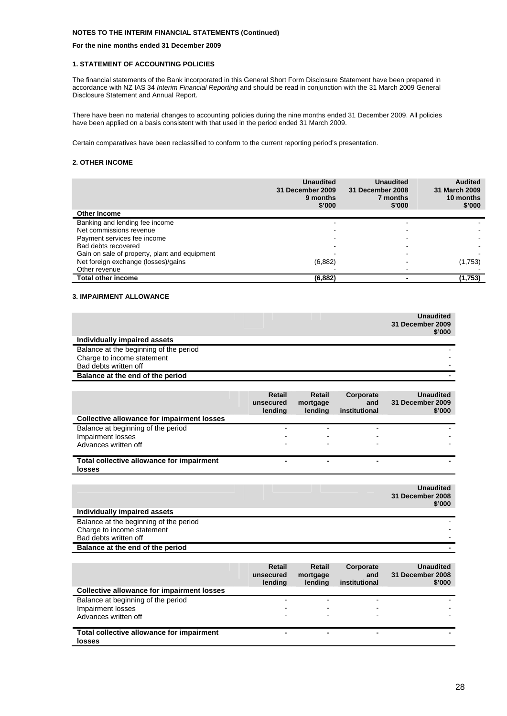#### **For the nine months ended 31 December 2009**

#### **1. STATEMENT OF ACCOUNTING POLICIES**

The financial statements of the Bank incorporated in this General Short Form Disclosure Statement have been prepared in accordance with NZ IAS 34 *Interim Financial Reporting* and should be read in conjunction with the 31 March 2009 General Disclosure Statement and Annual Report.

There have been no material changes to accounting policies during the nine months ended 31 December 2009. All policies have been applied on a basis consistent with that used in the period ended 31 March 2009.

Certain comparatives have been reclassified to conform to the current reporting period's presentation.

#### **2. OTHER INCOME**

| <b>Other Income</b>                           | <b>Unaudited</b><br>31 December 2009<br>9 months<br>\$'000 | <b>Unaudited</b><br>31 December 2008<br>7 months<br>\$'000 | <b>Audited</b><br>31 March 2009<br>10 months<br>\$'000 |
|-----------------------------------------------|------------------------------------------------------------|------------------------------------------------------------|--------------------------------------------------------|
| Banking and lending fee income                |                                                            |                                                            |                                                        |
| Net commissions revenue                       |                                                            |                                                            |                                                        |
| Payment services fee income                   |                                                            |                                                            |                                                        |
| Bad debts recovered                           |                                                            |                                                            |                                                        |
| Gain on sale of property, plant and equipment |                                                            |                                                            |                                                        |
| Net foreign exchange (losses)/gains           | (6, 882)                                                   |                                                            | (1,753)                                                |
| Other revenue                                 |                                                            |                                                            |                                                        |
| Total other income                            | (6, 882)                                                   |                                                            | (1,753)                                                |

#### **3. IMPAIRMENT ALLOWANCE**

|                                                                                               |                                       |                                      |                                   | <b>Unaudited</b><br>31 December 2009<br>\$'000 |
|-----------------------------------------------------------------------------------------------|---------------------------------------|--------------------------------------|-----------------------------------|------------------------------------------------|
| Individually impaired assets                                                                  |                                       |                                      |                                   |                                                |
| Balance at the beginning of the period<br>Charge to income statement<br>Bad debts written off |                                       |                                      |                                   |                                                |
| Balance at the end of the period                                                              |                                       |                                      |                                   |                                                |
|                                                                                               |                                       |                                      |                                   |                                                |
|                                                                                               | <b>Retail</b><br>unsecured<br>lending | <b>Retail</b><br>mortgage<br>lending | Corporate<br>and<br>institutional | <b>Unaudited</b><br>31 December 2009<br>\$'000 |
| <b>Collective allowance for impairment losses</b>                                             |                                       |                                      |                                   |                                                |
| Balance at beginning of the period<br>Impairment losses<br>Advances written off               |                                       |                                      |                                   |                                                |
| Total collective allowance for impairment<br>losses                                           |                                       | $\blacksquare$                       |                                   |                                                |
|                                                                                               |                                       |                                      |                                   | <b>Unaudited</b><br>31 December 2008<br>\$'000 |
| Individually impaired assets                                                                  |                                       |                                      |                                   |                                                |
| Balance at the beginning of the period<br>Charge to income statement<br>Bad debts written off |                                       |                                      |                                   |                                                |
| Balance at the end of the period                                                              |                                       |                                      |                                   |                                                |
|                                                                                               | Retail<br>unsecured<br>lending        | <b>Retail</b><br>mortgage<br>lendina | Corporate<br>and<br>institutional | <b>Unaudited</b><br>31 December 2008<br>\$'000 |

|                                            | lendina | <br>lendina              | institutional | \$'000 |
|--------------------------------------------|---------|--------------------------|---------------|--------|
| Collective allowance for impairment losses |         |                          |               |        |
| Balance at beginning of the period         | -       |                          |               |        |
| Impairment losses                          | -       |                          |               |        |
| Advances written off                       | -       |                          |               |        |
| Total collective allowance for impairment  | -       | $\overline{\phantom{0}}$ | -             |        |
| <b>losses</b>                              |         |                          |               |        |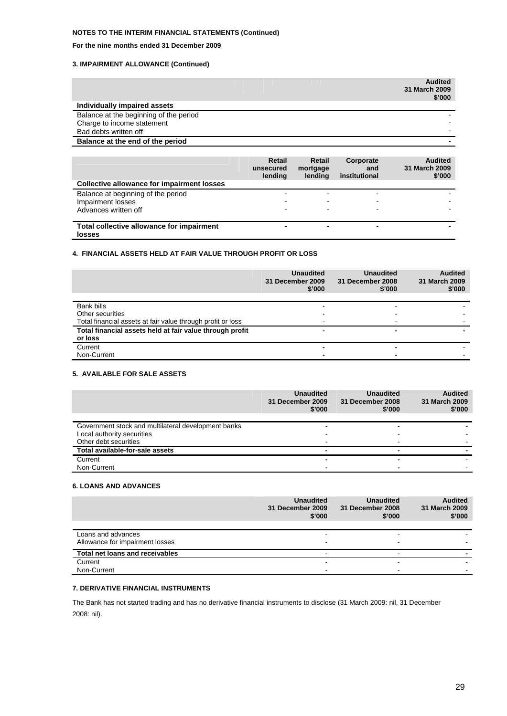#### **For the nine months ended 31 December 2009**

#### **3. IMPAIRMENT ALLOWANCE (Continued)**

|                                                                                               |                                       |                               |                                   | <b>Audited</b><br>31 March 2009<br>\$'000 |
|-----------------------------------------------------------------------------------------------|---------------------------------------|-------------------------------|-----------------------------------|-------------------------------------------|
| Individually impaired assets                                                                  |                                       |                               |                                   |                                           |
| Balance at the beginning of the period<br>Charge to income statement<br>Bad debts written off |                                       |                               |                                   |                                           |
| Balance at the end of the period                                                              |                                       |                               |                                   |                                           |
|                                                                                               |                                       |                               |                                   |                                           |
|                                                                                               | <b>Retail</b><br>unsecured<br>lending | Retail<br>mortgage<br>lendina | Corporate<br>and<br>institutional | <b>Audited</b><br>31 March 2009<br>\$'000 |
| <b>Collective allowance for impairment losses</b>                                             |                                       |                               |                                   |                                           |
| Balance at beginning of the period                                                            |                                       |                               |                                   |                                           |
| Impairment losses                                                                             |                                       |                               |                                   |                                           |
| Advances written off                                                                          |                                       |                               |                                   |                                           |

**Total collective allowance for impairment losses**

#### **4. FINANCIAL ASSETS HELD AT FAIR VALUE THROUGH PROFIT OR LOSS**

|                                                                     | <b>Unaudited</b><br>31 December 2009<br>\$'000 | <b>Unaudited</b><br>31 December 2008<br>\$'000 | <b>Audited</b><br>31 March 2009<br>\$'000 |
|---------------------------------------------------------------------|------------------------------------------------|------------------------------------------------|-------------------------------------------|
| Bank bills                                                          |                                                |                                                |                                           |
| Other securities                                                    |                                                |                                                |                                           |
| Total financial assets at fair value through profit or loss         |                                                |                                                |                                           |
| Total financial assets held at fair value through profit<br>or loss | -                                              |                                                |                                           |
| Current                                                             |                                                |                                                |                                           |
| Non-Current                                                         | -                                              |                                                |                                           |

 **- - - -** 

#### **5. AVAILABLE FOR SALE ASSETS**

|                                                     | <b>Unaudited</b><br>31 December 2009<br>\$'000 | <b>Unaudited</b><br>31 December 2008<br>\$'000 | <b>Audited</b><br>31 March 2009<br>\$'000 |
|-----------------------------------------------------|------------------------------------------------|------------------------------------------------|-------------------------------------------|
| Government stock and multilateral development banks |                                                |                                                |                                           |
| Local authority securities                          |                                                |                                                |                                           |
| Other debt securities                               |                                                |                                                |                                           |
| Total available-for-sale assets                     |                                                |                                                |                                           |
| Current                                             |                                                | $\overline{\phantom{0}}$                       |                                           |
| Non-Current                                         |                                                |                                                |                                           |

#### **6. LOANS AND ADVANCES**

|                                 | <b>Unaudited</b><br>31 December 2009<br>\$'000 | <b>Unaudited</b><br>31 December 2008<br>\$'000 | <b>Audited</b><br>31 March 2009<br>\$'000 |
|---------------------------------|------------------------------------------------|------------------------------------------------|-------------------------------------------|
|                                 |                                                |                                                |                                           |
| Loans and advances              | $\overline{\phantom{0}}$                       | $\overline{\phantom{0}}$                       |                                           |
| Allowance for impairment losses | $\overline{\phantom{0}}$                       |                                                |                                           |
| Total net loans and receivables | $\overline{\phantom{0}}$                       | $\overline{\phantom{0}}$                       |                                           |
| Current                         |                                                |                                                |                                           |
| Non-Current                     |                                                | -                                              |                                           |

#### **7. DERIVATIVE FINANCIAL INSTRUMENTS**

The Bank has not started trading and has no derivative financial instruments to disclose (31 March 2009: nil, 31 December 2008: nil).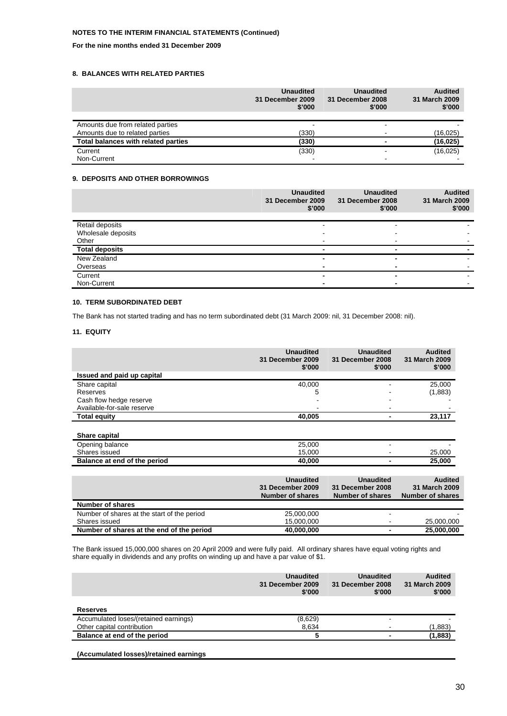#### **For the nine months ended 31 December 2009**

#### **8. BALANCES WITH RELATED PARTIES**

|                                     | <b>Unaudited</b><br>31 December 2009<br>\$'000 | <b>Unaudited</b><br>31 December 2008<br>\$'000 | <b>Audited</b><br>31 March 2009<br>\$'000 |
|-------------------------------------|------------------------------------------------|------------------------------------------------|-------------------------------------------|
| Amounts due from related parties    |                                                |                                                |                                           |
| Amounts due to related parties      | (330)                                          |                                                | (16, 025)                                 |
| Total balances with related parties | (330)                                          |                                                | (16, 025)                                 |
| Current                             | (330)                                          |                                                | (16, 025)                                 |
| Non-Current                         |                                                |                                                |                                           |

#### **9. DEPOSITS AND OTHER BORROWINGS**

|                       | <b>Unaudited</b><br>31 December 2009<br>\$'000 | <b>Unaudited</b><br>31 December 2008<br>\$'000 | <b>Audited</b><br>31 March 2009<br>\$'000 |
|-----------------------|------------------------------------------------|------------------------------------------------|-------------------------------------------|
| Retail deposits       |                                                | $\overline{\phantom{a}}$                       |                                           |
| Wholesale deposits    |                                                |                                                |                                           |
| Other                 |                                                |                                                |                                           |
| <b>Total deposits</b> |                                                | -                                              |                                           |
| New Zealand           |                                                | ۰                                              |                                           |
| Overseas              |                                                |                                                |                                           |
| Current               |                                                |                                                |                                           |
| Non-Current           |                                                |                                                |                                           |

#### **10. TERM SUBORDINATED DEBT**

The Bank has not started trading and has no term subordinated debt (31 March 2009: nil, 31 December 2008: nil).

#### **11. EQUITY**

|                                                   | <b>Unaudited</b><br>31 December 2009<br>\$'000                  | <b>Unaudited</b><br>31 December 2008<br>\$'000                  | <b>Audited</b><br>31 March 2009<br>\$'000                  |
|---------------------------------------------------|-----------------------------------------------------------------|-----------------------------------------------------------------|------------------------------------------------------------|
| Issued and paid up capital                        |                                                                 |                                                                 |                                                            |
| Share capital                                     | 40,000                                                          |                                                                 | 25,000                                                     |
| Reserves                                          | 5                                                               |                                                                 | (1,883)                                                    |
| Cash flow hedge reserve                           |                                                                 |                                                                 |                                                            |
| Available-for-sale reserve                        |                                                                 |                                                                 |                                                            |
| <b>Total equity</b>                               | 40,005                                                          |                                                                 | 23,117                                                     |
| Share capital<br>Opening balance<br>Shares issued | 25,000<br>15,000                                                |                                                                 | 25,000                                                     |
| Balance at end of the period                      | 40,000                                                          |                                                                 | 25,000                                                     |
|                                                   | <b>Unaudited</b><br>31 December 2009<br><b>Number of shares</b> | <b>Unaudited</b><br>31 December 2008<br><b>Number of shares</b> | <b>Audited</b><br>31 March 2009<br><b>Number of shares</b> |
| <b>Number of shares</b>                           |                                                                 |                                                                 |                                                            |
| Number of shares at the start of the period       | 25,000,000                                                      |                                                                 |                                                            |
| Shares issued                                     | 15,000,000                                                      |                                                                 | 25,000,000                                                 |
| Number of shares at the end of the period         | 40,000,000                                                      |                                                                 | 25.000.000                                                 |

The Bank issued 15,000,000 shares on 20 April 2009 and were fully paid. All ordinary shares have equal voting rights and share equally in dividends and any profits on winding up and have a par value of \$1.

|                                       | <b>Unaudited</b><br>31 December 2009<br>\$'000 | <b>Unaudited</b><br>31 December 2008<br>\$'000 | <b>Audited</b><br>31 March 2009<br>\$'000 |
|---------------------------------------|------------------------------------------------|------------------------------------------------|-------------------------------------------|
| <b>Reserves</b>                       |                                                |                                                |                                           |
| Accumulated loses/(retained earnings) | (8,629)                                        |                                                |                                           |
| Other capital contribution            | 8,634                                          |                                                | (1,883)                                   |
| Balance at end of the period          |                                                |                                                | (1,883)                                   |
|                                       |                                                |                                                |                                           |

**(Accumulated losses)/retained earnings**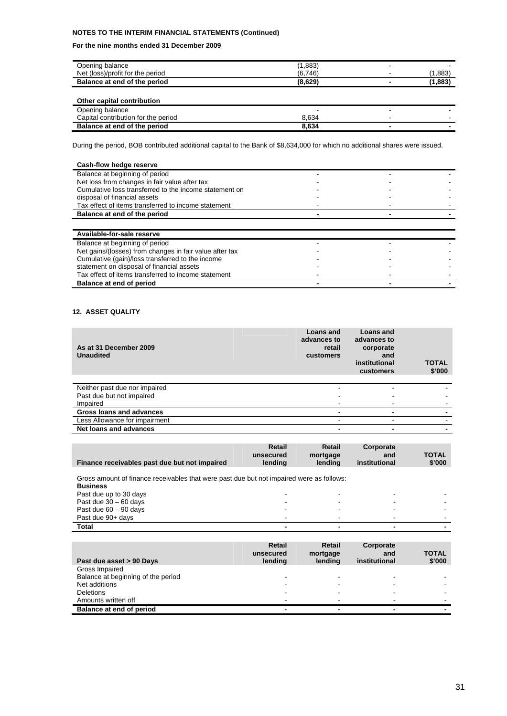#### **For the nine months ended 31 December 2009**

| Opening balance                  | .883    | - |       |
|----------------------------------|---------|---|-------|
| Net (loss)/profit for the period | (6,746) |   | .883  |
| Balance at end of the period     | (8,629) |   | .,883 |
|                                  |         |   |       |

#### **Other capital contribution**

| Opening balance                     |       |  |
|-------------------------------------|-------|--|
| Capital contribution for the period | 8.634 |  |
| Balance at end of the period        | 8.634 |  |

During the period, BOB contributed additional capital to the Bank of \$8,634,000 for which no additional shares were issued.

| Cash-flow hedge reserve                                 |  |  |
|---------------------------------------------------------|--|--|
| Balance at beginning of period                          |  |  |
| Net loss from changes in fair value after tax           |  |  |
| Cumulative loss transferred to the income statement on  |  |  |
| disposal of financial assets                            |  |  |
| Tax effect of items transferred to income statement     |  |  |
| Balance at end of the period                            |  |  |
|                                                         |  |  |
| Available-for-sale reserve                              |  |  |
| Balance at beginning of period                          |  |  |
| Net gains/(losses) from changes in fair value after tax |  |  |
| Cumulative (gain)/loss transferred to the income        |  |  |
| statement on disposal of financial assets               |  |  |
| Tax effect of items transferred to income statement     |  |  |
| Balance at end of period                                |  |  |

#### **12. ASSET QUALITY**

| As at 31 December 2009<br><b>Unaudited</b> | Loans and<br>advances to<br>retail<br>customers | Loans and<br>advances to<br>corporate<br>and<br>institutional<br>customers | <b>TOTAL</b><br>\$'000 |
|--------------------------------------------|-------------------------------------------------|----------------------------------------------------------------------------|------------------------|
| Neither past due nor impaired              |                                                 |                                                                            |                        |
| Past due but not impaired                  |                                                 |                                                                            |                        |
| Impaired                                   |                                                 |                                                                            |                        |
| Gross loans and advances                   |                                                 |                                                                            |                        |
| Less Allowance for impairment              |                                                 | -                                                                          |                        |
| Net loans and advances                     | ٠                                               |                                                                            |                        |

| Finance receivables past due but not impaired | Retail<br>unsecured<br>lendina | Retail<br>mortgage<br>lendina | Corporate<br>and<br>institutional | <b>TOTAL</b><br>\$'000 |
|-----------------------------------------------|--------------------------------|-------------------------------|-----------------------------------|------------------------|
|                                               |                                |                               |                                   |                        |

Gross amount of finance receivables that were past due but not impaired were as follows:

| <b>Business</b>         |   |  |  |
|-------------------------|---|--|--|
| Past due up to 30 days  |   |  |  |
| Past due $30 - 60$ days | - |  |  |
| Past due $60 - 90$ days | - |  |  |
| Past due 90+ days       | - |  |  |
| Total                   | - |  |  |

| Past due asset > 90 Days           | <b>Retail</b><br>unsecured<br>lending | Retail<br>mortgage<br>lendina | Corporate<br>and<br>institutional | <b>TOTAL</b><br>\$'000 |
|------------------------------------|---------------------------------------|-------------------------------|-----------------------------------|------------------------|
| Gross Impaired                     |                                       |                               |                                   |                        |
| Balance at beginning of the period |                                       |                               | -                                 |                        |
| Net additions                      | -                                     |                               | -                                 |                        |
| <b>Deletions</b>                   |                                       |                               | -                                 |                        |
| Amounts written off                |                                       |                               | -                                 |                        |
| Balance at end of period           |                                       |                               | $\overline{\phantom{a}}$          |                        |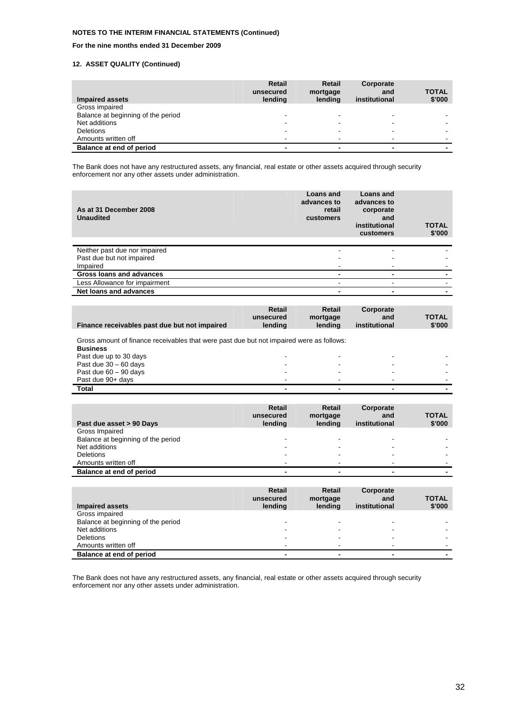#### **For the nine months ended 31 December 2009**

#### **12. ASSET QUALITY (Continued)**

| Impaired assets                    | <b>Retail</b><br>unsecured<br>lending | Retail<br>mortgage<br>lendina | Corporate<br>and<br>institutional | <b>TOTAL</b><br>\$'000 |
|------------------------------------|---------------------------------------|-------------------------------|-----------------------------------|------------------------|
| Gross impaired                     |                                       |                               |                                   |                        |
| Balance at beginning of the period |                                       |                               |                                   |                        |
| Net additions                      |                                       |                               |                                   |                        |
| <b>Deletions</b>                   |                                       |                               |                                   |                        |
| Amounts written off                |                                       |                               |                                   |                        |
| Balance at end of period           |                                       | -                             |                                   |                        |

The Bank does not have any restructured assets, any financial, real estate or other assets acquired through security enforcement nor any other assets under administration.

| As at 31 December 2008<br><b>Unaudited</b> | Loans and<br>advances to<br>retail<br>customers | Loans and<br>advances to<br>corporate<br>and<br>institutional<br>customers | <b>TOTAL</b><br>\$'000 |
|--------------------------------------------|-------------------------------------------------|----------------------------------------------------------------------------|------------------------|
| Neither past due nor impaired              |                                                 |                                                                            |                        |
| Past due but not impaired                  |                                                 |                                                                            |                        |
| Impaired                                   |                                                 | -                                                                          |                        |
| Gross loans and advances                   |                                                 |                                                                            |                        |
| Less Allowance for impairment              |                                                 |                                                                            |                        |
| Net loans and advances                     |                                                 |                                                                            |                        |

| Finance receivables past due but not impaired                                                               | Retail<br>unsecured<br>lending | Retail<br>mortgage<br>lendina | Corporate<br>and<br>institutional | <b>TOTAL</b><br>\$'000 |
|-------------------------------------------------------------------------------------------------------------|--------------------------------|-------------------------------|-----------------------------------|------------------------|
| Gross amount of finance receivables that were past due but not impaired were as follows:<br><b>Business</b> |                                |                               |                                   |                        |
| Past due up to 30 days                                                                                      | -                              | $\,$                          | -                                 |                        |
| Past due $30 - 60$ days                                                                                     |                                | -                             |                                   |                        |
| Past due $60 - 90$ days                                                                                     |                                |                               |                                   |                        |
| Past due 90+ days                                                                                           |                                | $\,$                          |                                   | -                      |

**Total - - - -** 

|                                    | Retail    | Retail   | Corporate     |              |
|------------------------------------|-----------|----------|---------------|--------------|
|                                    | unsecured | mortgage | and           | <b>TOTAL</b> |
| Past due asset > 90 Days           | lending   | lending  | institutional | \$'000       |
| Gross Impaired                     |           |          |               |              |
| Balance at beginning of the period |           |          |               |              |
| Net additions                      |           |          |               |              |
| <b>Deletions</b>                   |           |          |               |              |
| Amounts written off                |           |          |               |              |
| Balance at end of period           |           |          |               |              |
|                                    |           |          |               |              |
|                                    |           |          |               |              |
|                                    | Retail    | Retail   | Corporate     |              |
|                                    | unsecured | mortgage | and           | TOTAL        |
| <b>Impaired assets</b>             | lending   | lending  | institutional | \$'000       |
| Gross impaired                     |           |          |               |              |
| Balance at beginning of the period |           |          |               |              |
| Net additions                      |           |          |               |              |
| <b>Deletions</b>                   |           |          |               |              |
| Amounts written off                |           |          |               |              |

The Bank does not have any restructured assets, any financial, real estate or other assets acquired through security enforcement nor any other assets under administration.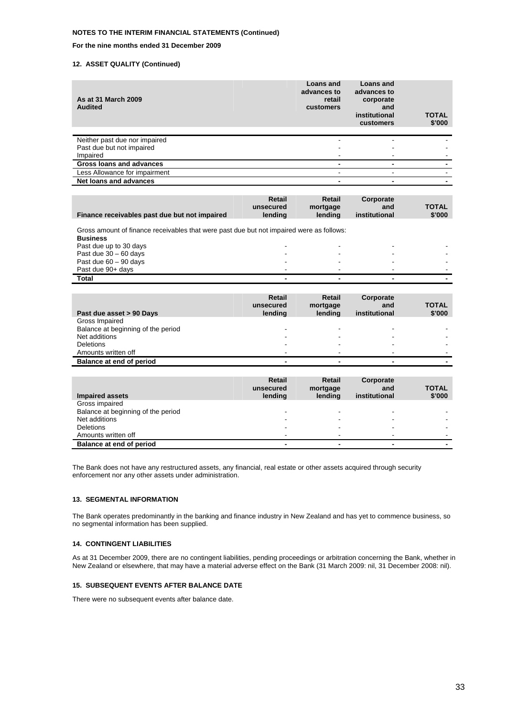**For the nine months ended 31 December 2009** 

#### **12. ASSET QUALITY (Continued)**

| As at 31 March 2009<br><b>Audited</b> | Loans and<br>advances to<br>retail<br>customers | Loans and<br>advances to<br>corporate<br>and<br>institutional<br>customers | <b>TOTAL</b><br>\$'000 |
|---------------------------------------|-------------------------------------------------|----------------------------------------------------------------------------|------------------------|
| Neither past due nor impaired         | -                                               |                                                                            |                        |
| Past due but not impaired             |                                                 |                                                                            |                        |
| Impaired                              | -                                               |                                                                            |                        |
| Gross loans and advances              | $\blacksquare$                                  |                                                                            |                        |
| Less Allowance for impairment         | -                                               |                                                                            |                        |
| Net loans and advances                | -                                               |                                                                            |                        |

|                                               | Retail    | Retail   | Corporate     |              |
|-----------------------------------------------|-----------|----------|---------------|--------------|
|                                               | unsecured | mortgage | and           | <b>TOTAL</b> |
| Finance receivables past due but not impaired | lendina   | lendina  | institutional | \$'000       |

Gross amount of finance receivables that were past due but not impaired were as follows:

| <b>Business</b>         |   |   |  |
|-------------------------|---|---|--|
| Past due up to 30 days  | - |   |  |
| Past due $30 - 60$ days |   |   |  |
| Past due $60 - 90$ days | - |   |  |
| Past due 90+ days       |   |   |  |
| <b>Total</b>            | - | - |  |

| Past due asset > 90 Days                                              | Retail<br>unsecured<br>lending        | Retail<br>mortgage<br>lending | Corporate<br>and<br>institutional | <b>TOTAL</b><br>\$'000 |
|-----------------------------------------------------------------------|---------------------------------------|-------------------------------|-----------------------------------|------------------------|
| Gross Impaired<br>Balance at beginning of the period<br>Net additions |                                       |                               |                                   |                        |
| <b>Deletions</b><br>Amounts written off                               |                                       |                               |                                   |                        |
| Balance at end of period                                              |                                       |                               |                                   |                        |
|                                                                       |                                       |                               |                                   |                        |
|                                                                       |                                       |                               |                                   |                        |
| <b>Impaired assets</b>                                                | <b>Retail</b><br>unsecured<br>lending | Retail<br>mortgage<br>lending | Corporate<br>and<br>institutional | <b>TOTAL</b><br>\$'000 |
| Gross impaired<br>Balance at beginning of the period<br>Net additions |                                       |                               |                                   |                        |
| <b>Deletions</b><br>Amounts written off                               |                                       |                               |                                   |                        |

The Bank does not have any restructured assets, any financial, real estate or other assets acquired through security enforcement nor any other assets under administration.

#### **13. SEGMENTAL INFORMATION**

The Bank operates predominantly in the banking and finance industry in New Zealand and has yet to commence business, so no segmental information has been supplied.

#### **14. CONTINGENT LIABILITIES**

As at 31 December 2009, there are no contingent liabilities, pending proceedings or arbitration concerning the Bank, whether in New Zealand or elsewhere, that may have a material adverse effect on the Bank (31 March 2009: nil, 31 December 2008: nil).

#### **15. SUBSEQUENT EVENTS AFTER BALANCE DATE**

There were no subsequent events after balance date.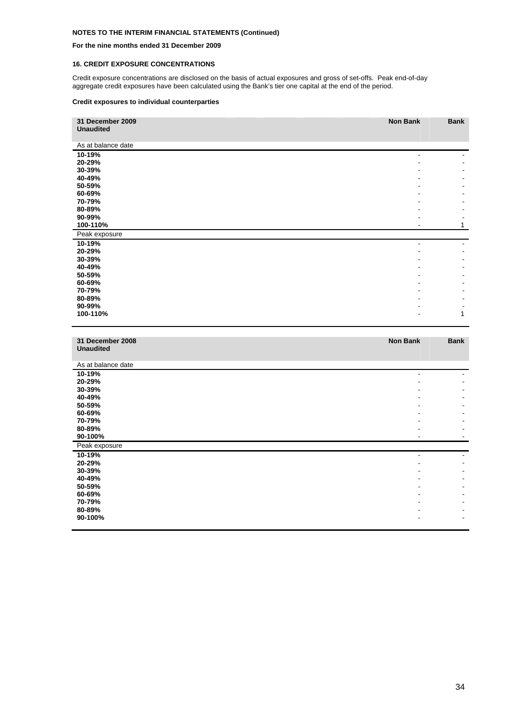#### **For the nine months ended 31 December 2009**

#### **16. CREDIT EXPOSURE CONCENTRATIONS**

Credit exposure concentrations are disclosed on the basis of actual exposures and gross of set-offs. Peak end-of-day aggregate credit exposures have been calculated using the Bank's tier one capital at the end of the period.

#### **Credit exposures to individual counterparties**

| 31 December 2009<br><b>Unaudited</b> | <b>Non Bank</b> | <b>Bank</b>              |
|--------------------------------------|-----------------|--------------------------|
| As at balance date                   |                 |                          |
| 10-19%                               |                 |                          |
| 20-29%                               |                 |                          |
| 30-39%                               |                 |                          |
| 40-49%<br>50-59%                     |                 |                          |
| 60-69%                               |                 |                          |
| 70-79%                               |                 |                          |
| 80-89%                               |                 | $\overline{\phantom{a}}$ |
| 90-99%                               |                 | $\overline{a}$           |
| 100-110%                             |                 | 1                        |
| Peak exposure                        |                 |                          |
| 10-19%<br>20-29%                     | $\blacksquare$  | ÷.                       |
| 30-39%                               |                 | $\overline{a}$           |
| 40-49%                               |                 |                          |
| 50-59%                               |                 |                          |
| 60-69%                               |                 |                          |
| 70-79%<br>80-89%                     |                 | $\overline{a}$           |
| 90-99%                               |                 | $\blacksquare$           |
| 100-110%                             |                 | 1                        |
|                                      |                 |                          |
|                                      |                 |                          |
| 31 December 2008                     | <b>Non Bank</b> | <b>Bank</b>              |
| <b>Unaudited</b>                     |                 |                          |
| As at balance date                   |                 |                          |
| 10-19%                               | $\blacksquare$  | ٠                        |
| 20-29%                               |                 |                          |
| 30-39%                               |                 |                          |
| 40-49%                               |                 |                          |
| 50-59%<br>60-69%                     |                 |                          |
| 70-79%                               |                 |                          |
| 80-89%                               |                 |                          |
| 90-100%                              |                 |                          |
| Peak exposure                        |                 |                          |
| 10-19%                               | $\overline{a}$  |                          |
| 20-29%<br>30-39%                     |                 | $\overline{a}$           |
| 40-49%                               |                 |                          |
| 50-59%                               |                 |                          |
| 60-69%                               |                 |                          |
| 70-79%                               |                 |                          |
| 80-89%<br>90-100%                    |                 | $\blacksquare$           |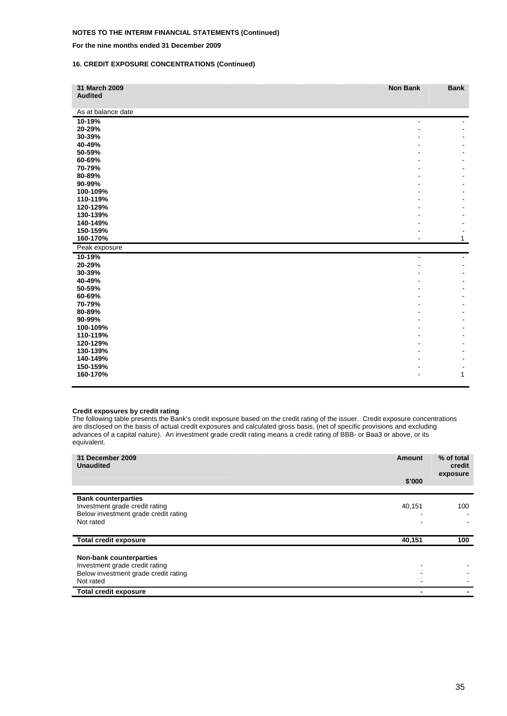#### **For the nine months ended 31 December 2009**

#### **16. CREDIT EXPOSURE CONCENTRATIONS (Continued)**

| 31 March 2009<br><b>Audited</b> | <b>Non Bank</b> | <b>Bank</b> |
|---------------------------------|-----------------|-------------|
|                                 |                 |             |
| As at balance date              |                 |             |
| 10-19%                          | $\overline{a}$  |             |
| 20-29%                          |                 |             |
| 30-39%                          |                 |             |
| 40-49%                          |                 |             |
| 50-59%                          |                 |             |
| 60-69%                          |                 |             |
| 70-79%                          |                 |             |
| 80-89%                          |                 |             |
| 90-99%                          |                 |             |
| 100-109%                        |                 |             |
| 110-119%                        |                 |             |
| 120-129%                        |                 |             |
| 130-139%<br>140-149%            |                 |             |
| 150-159%                        |                 |             |
| 160-170%                        |                 | 1           |
|                                 |                 |             |
| Peak exposure                   |                 |             |
| 10-19%                          |                 |             |
| 20-29%<br>30-39%                |                 |             |
| 40-49%                          |                 |             |
| 50-59%                          |                 |             |
| 60-69%                          |                 |             |
| 70-79%                          |                 |             |
| 80-89%                          |                 |             |
| 90-99%                          |                 |             |
| 100-109%                        |                 |             |
| 110-119%                        |                 |             |
| 120-129%                        |                 |             |
| 130-139%                        |                 |             |
| 140-149%                        |                 |             |
| 150-159%                        |                 |             |
| 160-170%                        |                 | 1           |
|                                 |                 |             |

#### **Credit exposures by credit rating**

The following table presents the Bank's credit exposure based on the credit rating of the issuer. Credit exposure concentrations are disclosed on the basis of actual credit exposures and calculated gross basis, (net of specific provisions and excluding advances of a capital nature). An investment grade credit rating means a credit rating of BBB- or Baa3 or above, or its equivalent.

| 31 December 2009<br><b>Unaudited</b>                                                                 | <b>Amount</b> | % of total<br>credit<br>exposure |
|------------------------------------------------------------------------------------------------------|---------------|----------------------------------|
|                                                                                                      | \$'000        |                                  |
| <b>Bank counterparties</b><br>Investment grade credit rating<br>Below investment grade credit rating | 40,151        | 100                              |
| Not rated                                                                                            |               |                                  |
| <b>Total credit exposure</b>                                                                         | 40,151        | 100                              |
| <b>Non-bank counterparties</b><br>Investment grade credit rating                                     |               |                                  |
| Below investment grade credit rating<br>Not rated                                                    |               |                                  |
| <b>Total credit exposure</b>                                                                         |               |                                  |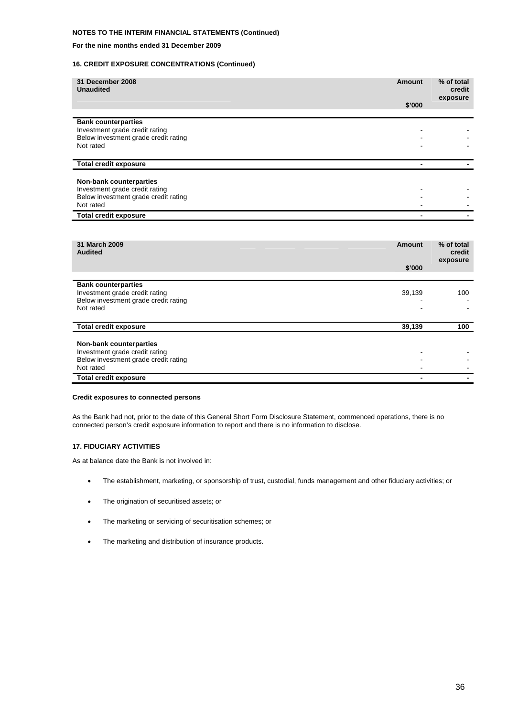#### **For the nine months ended 31 December 2009**

#### **16. CREDIT EXPOSURE CONCENTRATIONS (Continued)**

| 31 December 2008<br><b>Unaudited</b>                                                                                  | Amount<br>\$'000 | % of total<br>credit<br>exposure |
|-----------------------------------------------------------------------------------------------------------------------|------------------|----------------------------------|
| <b>Bank counterparties</b><br>Investment grade credit rating<br>Below investment grade credit rating<br>Not rated     |                  |                                  |
| <b>Total credit exposure</b>                                                                                          |                  |                                  |
| <b>Non-bank counterparties</b><br>Investment grade credit rating<br>Below investment grade credit rating<br>Not rated |                  |                                  |
| <b>Total credit exposure</b>                                                                                          |                  |                                  |

| 31 March 2009<br><b>Audited</b>                                                                                       | Amount<br>\$'000 | % of total<br>credit<br>exposure |
|-----------------------------------------------------------------------------------------------------------------------|------------------|----------------------------------|
| <b>Bank counterparties</b><br>Investment grade credit rating<br>Below investment grade credit rating<br>Not rated     | 39,139           | 100                              |
| <b>Total credit exposure</b>                                                                                          | 39,139           | 100                              |
| <b>Non-bank counterparties</b><br>Investment grade credit rating<br>Below investment grade credit rating<br>Not rated |                  |                                  |
| <b>Total credit exposure</b>                                                                                          |                  |                                  |

#### **Credit exposures to connected persons**

As the Bank had not, prior to the date of this General Short Form Disclosure Statement, commenced operations, there is no connected person's credit exposure information to report and there is no information to disclose.

#### **17. FIDUCIARY ACTIVITIES**

As at balance date the Bank is not involved in:

- The establishment, marketing, or sponsorship of trust, custodial, funds management and other fiduciary activities; or
- The origination of securitised assets; or
- The marketing or servicing of securitisation schemes; or
- The marketing and distribution of insurance products.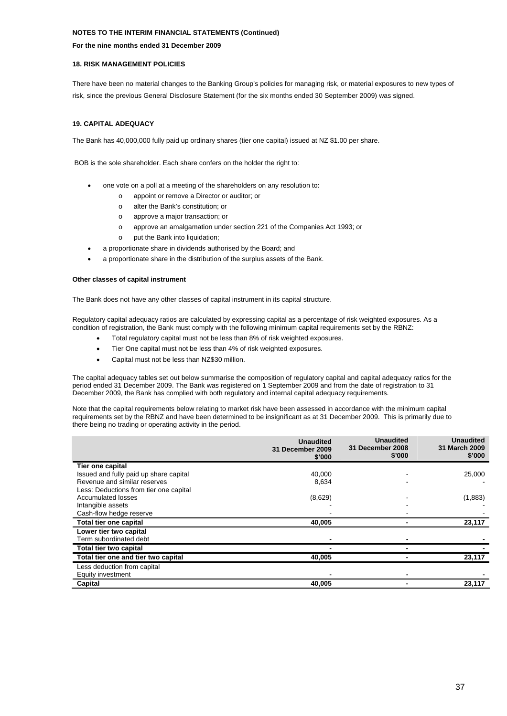#### **For the nine months ended 31 December 2009**

#### **18. RISK MANAGEMENT POLICIES**

There have been no material changes to the Banking Group's policies for managing risk, or material exposures to new types of risk, since the previous General Disclosure Statement (for the six months ended 30 September 2009) was signed.

#### **19. CAPITAL ADEQUACY**

The Bank has 40,000,000 fully paid up ordinary shares (tier one capital) issued at NZ \$1.00 per share.

BOB is the sole shareholder. Each share confers on the holder the right to:

- one vote on a poll at a meeting of the shareholders on any resolution to:
	- o appoint or remove a Director or auditor; or
	- o alter the Bank's constitution; or
	- o approve a major transaction; or
	- o approve an amalgamation under section 221 of the Companies Act 1993; or
	- o put the Bank into liquidation;
- a proportionate share in dividends authorised by the Board; and
- a proportionate share in the distribution of the surplus assets of the Bank.

#### **Other classes of capital instrument**

The Bank does not have any other classes of capital instrument in its capital structure.

Regulatory capital adequacy ratios are calculated by expressing capital as a percentage of risk weighted exposures. As a condition of registration, the Bank must comply with the following minimum capital requirements set by the RBNZ:

- Total regulatory capital must not be less than 8% of risk weighted exposures.
- Tier One capital must not be less than 4% of risk weighted exposures.
- Capital must not be less than NZ\$30 million.

The capital adequacy tables set out below summarise the composition of regulatory capital and capital adequacy ratios for the period ended 31 December 2009. The Bank was registered on 1 September 2009 and from the date of registration to 31 December 2009, the Bank has complied with both regulatory and internal capital adequacy requirements.

Note that the capital requirements below relating to market risk have been assessed in accordance with the minimum capital requirements set by the RBNZ and have been determined to be insignificant as at 31 December 2009. This is primarily due to there being no trading or operating activity in the period.

|                                        | <b>Unaudited</b><br>31 December 2009<br>\$'000 | <b>Unaudited</b><br>31 December 2008<br>\$'000 | <b>Unaudited</b><br>31 March 2009<br>\$'000 |
|----------------------------------------|------------------------------------------------|------------------------------------------------|---------------------------------------------|
| Tier one capital                       |                                                |                                                |                                             |
| Issued and fully paid up share capital | 40,000                                         |                                                | 25,000                                      |
| Revenue and similar reserves           | 8,634                                          |                                                |                                             |
| Less: Deductions from tier one capital |                                                |                                                |                                             |
| <b>Accumulated losses</b>              | (8,629)                                        |                                                | (1,883)                                     |
| Intangible assets                      |                                                |                                                |                                             |
| Cash-flow hedge reserve                |                                                |                                                |                                             |
| Total tier one capital                 | 40,005                                         |                                                | 23,117                                      |
| Lower tier two capital                 |                                                |                                                |                                             |
| Term subordinated debt                 |                                                |                                                |                                             |
| Total tier two capital                 |                                                |                                                |                                             |
| Total tier one and tier two capital    | 40,005                                         |                                                | 23,117                                      |
| Less deduction from capital            |                                                |                                                |                                             |
| Equity investment                      |                                                |                                                |                                             |
| Capital                                | 40,005                                         |                                                | 23,117                                      |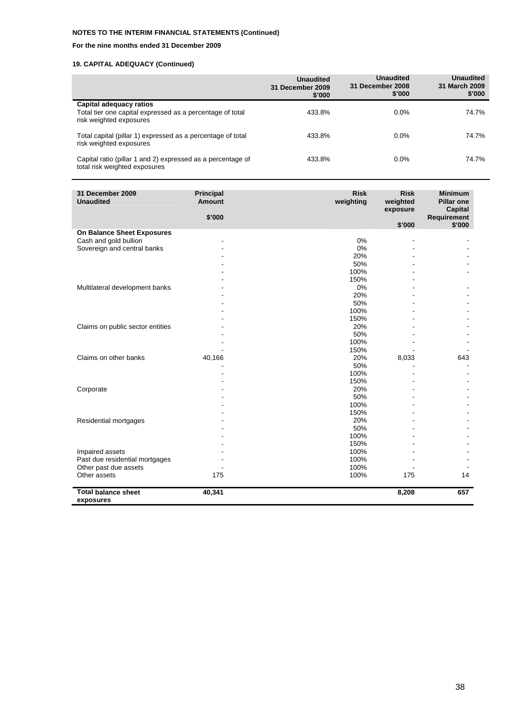#### **For the nine months ended 31 December 2009**

|                                                                                                                 | <b>Unaudited</b><br>31 December 2009<br>\$'000 | <b>Unaudited</b><br>31 December 2008<br>\$'000 | <b>Unaudited</b><br>31 March 2009<br>\$'000 |
|-----------------------------------------------------------------------------------------------------------------|------------------------------------------------|------------------------------------------------|---------------------------------------------|
| Capital adequacy ratios<br>Total tier one capital expressed as a percentage of total<br>risk weighted exposures | 433.8%                                         | 0.0%                                           | 74.7%                                       |
| Total capital (pillar 1) expressed as a percentage of total<br>risk weighted exposures                          | 433.8%                                         | $0.0\%$                                        | 74.7%                                       |
| Capital ratio (pillar 1 and 2) expressed as a percentage of<br>total risk weighted exposures                    | 433.8%                                         | 0.0%                                           | 74.7%                                       |

| 31 December 2009<br><b>Unaudited</b>    | <b>Principal</b><br><b>Amount</b> | <b>Risk</b><br>weighting | <b>Risk</b><br>weighted<br>exposure | <b>Minimum</b><br><b>Pillar one</b><br><b>Capital</b> |
|-----------------------------------------|-----------------------------------|--------------------------|-------------------------------------|-------------------------------------------------------|
|                                         | \$'000                            |                          | \$'000                              | Requirement<br>\$'000                                 |
| On Balance Sheet Exposures              |                                   |                          |                                     |                                                       |
| Cash and gold bullion                   |                                   | 0%                       | ÷.                                  |                                                       |
| Sovereign and central banks             |                                   | 0%                       |                                     |                                                       |
|                                         |                                   | 20%                      |                                     |                                                       |
|                                         |                                   | 50%                      |                                     |                                                       |
|                                         |                                   | 100%                     |                                     |                                                       |
|                                         |                                   | 150%                     |                                     |                                                       |
| Multilateral development banks          |                                   | 0%                       |                                     |                                                       |
|                                         |                                   | 20%                      |                                     |                                                       |
|                                         |                                   | 50%                      |                                     |                                                       |
|                                         |                                   | 100%                     |                                     |                                                       |
|                                         |                                   | 150%                     |                                     |                                                       |
| Claims on public sector entities        |                                   | 20%                      |                                     |                                                       |
|                                         |                                   | 50%                      |                                     |                                                       |
|                                         |                                   | 100%                     |                                     |                                                       |
|                                         |                                   | 150%                     |                                     |                                                       |
| Claims on other banks                   | 40,166                            | 20%                      | 8,033                               | 643                                                   |
|                                         |                                   | 50%                      |                                     |                                                       |
|                                         |                                   | 100%                     |                                     |                                                       |
|                                         |                                   | 150%                     |                                     |                                                       |
| Corporate                               |                                   | 20%                      |                                     |                                                       |
|                                         |                                   | 50%                      |                                     |                                                       |
|                                         |                                   | 100%                     |                                     |                                                       |
|                                         |                                   | 150%                     |                                     |                                                       |
| Residential mortgages                   |                                   | 20%                      |                                     |                                                       |
|                                         |                                   | 50%                      |                                     |                                                       |
|                                         |                                   | 100%                     |                                     |                                                       |
|                                         |                                   | 150%                     |                                     |                                                       |
| Impaired assets                         |                                   | 100%                     |                                     |                                                       |
| Past due residential mortgages          |                                   | 100%                     |                                     |                                                       |
| Other past due assets                   |                                   | 100%                     |                                     |                                                       |
| Other assets                            | 175                               | 100%                     | 175                                 | 14                                                    |
| <b>Total balance sheet</b><br>exposures | 40,341                            |                          | 8,208                               | 657                                                   |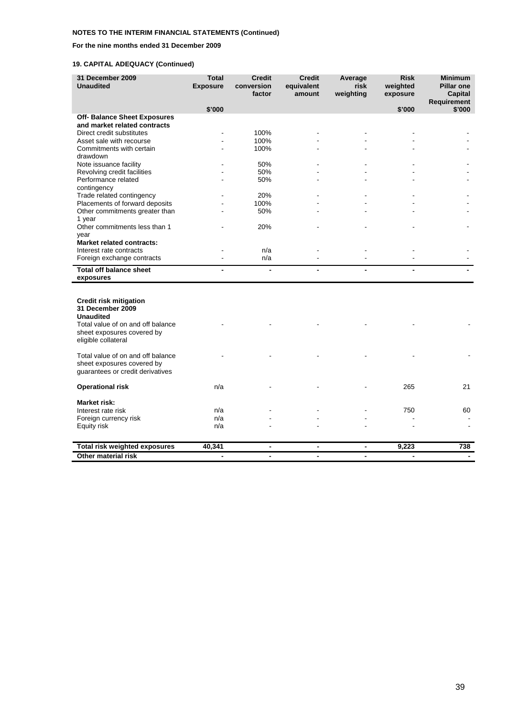#### **For the nine months ended 31 December 2009**

| 31 December 2009<br><b>Unaudited</b>     | <b>Total</b><br><b>Exposure</b> | <b>Credit</b><br>conversion<br>factor | <b>Credit</b><br>equivalent<br>amount | Average<br>risk<br>weighting | <b>Risk</b><br>weighted<br>exposure | <b>Minimum</b><br><b>Pillar one</b><br><b>Capital</b> |
|------------------------------------------|---------------------------------|---------------------------------------|---------------------------------------|------------------------------|-------------------------------------|-------------------------------------------------------|
|                                          | \$'000                          |                                       |                                       |                              |                                     | <b>Requirement</b><br>\$'000                          |
| <b>Off- Balance Sheet Exposures</b>      |                                 |                                       |                                       |                              | \$'000                              |                                                       |
| and market related contracts             |                                 |                                       |                                       |                              |                                     |                                                       |
| Direct credit substitutes                |                                 | 100%                                  |                                       |                              |                                     |                                                       |
| Asset sale with recourse                 |                                 | 100%                                  |                                       |                              |                                     |                                                       |
| Commitments with certain                 |                                 | 100%                                  |                                       |                              |                                     |                                                       |
| drawdown                                 |                                 |                                       |                                       |                              |                                     |                                                       |
| Note issuance facility                   |                                 | 50%                                   |                                       |                              |                                     |                                                       |
| Revolving credit facilities              |                                 | 50%                                   |                                       |                              |                                     |                                                       |
| Performance related                      |                                 | 50%                                   |                                       |                              |                                     |                                                       |
| contingency<br>Trade related contingency |                                 | 20%                                   |                                       |                              |                                     |                                                       |
| Placements of forward deposits           |                                 | 100%                                  |                                       |                              |                                     |                                                       |
| Other commitments greater than           |                                 | 50%                                   |                                       |                              |                                     |                                                       |
| 1 year                                   |                                 |                                       |                                       |                              |                                     |                                                       |
| Other commitments less than 1            |                                 | 20%                                   |                                       |                              |                                     |                                                       |
| year                                     |                                 |                                       |                                       |                              |                                     |                                                       |
| <b>Market related contracts:</b>         |                                 |                                       |                                       |                              |                                     |                                                       |
| Interest rate contracts                  |                                 | n/a                                   |                                       |                              |                                     |                                                       |
| Foreign exchange contracts               |                                 | n/a                                   |                                       |                              |                                     |                                                       |
| <b>Total off balance sheet</b>           | $\blacksquare$                  | $\overline{\phantom{a}}$              |                                       | $\blacksquare$               | $\blacksquare$                      |                                                       |
| exposures                                |                                 |                                       |                                       |                              |                                     |                                                       |
|                                          |                                 |                                       |                                       |                              |                                     |                                                       |
| <b>Credit risk mitigation</b>            |                                 |                                       |                                       |                              |                                     |                                                       |
| 31 December 2009                         |                                 |                                       |                                       |                              |                                     |                                                       |
| <b>Unaudited</b>                         |                                 |                                       |                                       |                              |                                     |                                                       |
| Total value of on and off balance        |                                 |                                       |                                       |                              |                                     |                                                       |
| sheet exposures covered by               |                                 |                                       |                                       |                              |                                     |                                                       |
| eligible collateral                      |                                 |                                       |                                       |                              |                                     |                                                       |
| Total value of on and off balance        |                                 |                                       |                                       |                              |                                     |                                                       |
| sheet exposures covered by               |                                 |                                       |                                       |                              |                                     |                                                       |
| guarantees or credit derivatives         |                                 |                                       |                                       |                              |                                     |                                                       |
|                                          |                                 |                                       |                                       |                              |                                     |                                                       |
| <b>Operational risk</b>                  | n/a                             |                                       |                                       |                              | 265                                 | 21                                                    |
| <b>Market risk:</b>                      |                                 |                                       |                                       |                              |                                     |                                                       |
| Interest rate risk                       | n/a                             |                                       |                                       |                              | 750                                 | 60                                                    |
| Foreign currency risk                    | n/a                             |                                       |                                       |                              |                                     |                                                       |
| Equity risk                              | n/a                             |                                       |                                       |                              |                                     |                                                       |
|                                          |                                 |                                       |                                       |                              |                                     |                                                       |
| <b>Total risk weighted exposures</b>     | 40,341                          | $\blacksquare$                        | $\blacksquare$                        |                              | 9,223                               | 738                                                   |
| Other material risk                      | $\blacksquare$                  | $\blacksquare$                        | $\overline{a}$                        | $\blacksquare$               | $\blacksquare$                      |                                                       |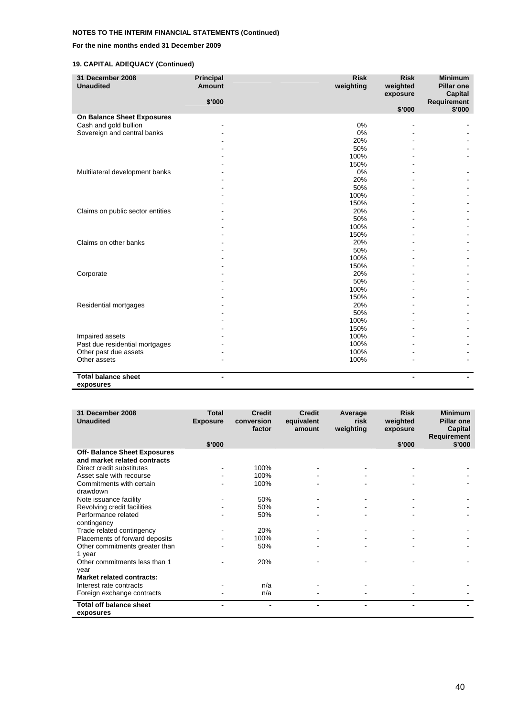#### **For the nine months ended 31 December 2009**

| 31 December 2008<br><b>Unaudited</b>    | Principal<br><b>Amount</b> | <b>Risk</b><br>weighting | <b>Risk</b><br>weighted<br>exposure | <b>Minimum</b><br><b>Pillar one</b><br><b>Capital</b> |
|-----------------------------------------|----------------------------|--------------------------|-------------------------------------|-------------------------------------------------------|
|                                         | \$'000                     |                          | \$'000                              | Requirement<br>\$'000                                 |
| On Balance Sheet Exposures              |                            |                          |                                     |                                                       |
| Cash and gold bullion                   |                            | 0%                       |                                     |                                                       |
| Sovereign and central banks             |                            | 0%                       |                                     |                                                       |
|                                         |                            | 20%                      |                                     |                                                       |
|                                         |                            | 50%                      |                                     |                                                       |
|                                         |                            | 100%                     |                                     |                                                       |
|                                         |                            | 150%                     |                                     |                                                       |
| Multilateral development banks          |                            | $0\%$                    |                                     |                                                       |
|                                         |                            | 20%                      |                                     |                                                       |
|                                         |                            | 50%                      |                                     |                                                       |
|                                         |                            | 100%                     |                                     |                                                       |
|                                         |                            | 150%                     |                                     |                                                       |
| Claims on public sector entities        |                            | 20%                      |                                     |                                                       |
|                                         |                            | 50%                      |                                     |                                                       |
|                                         |                            | 100%                     |                                     |                                                       |
|                                         |                            | 150%                     |                                     |                                                       |
| Claims on other banks                   |                            | 20%                      |                                     |                                                       |
|                                         |                            | 50%                      |                                     |                                                       |
|                                         |                            | 100%                     |                                     |                                                       |
|                                         |                            | 150%                     |                                     |                                                       |
| Corporate                               |                            | 20%                      |                                     |                                                       |
|                                         |                            | 50%                      |                                     |                                                       |
|                                         |                            | 100%                     |                                     |                                                       |
|                                         |                            | 150%                     |                                     |                                                       |
| Residential mortgages                   |                            | 20%                      |                                     |                                                       |
|                                         |                            | 50%                      |                                     |                                                       |
|                                         |                            | 100%                     |                                     |                                                       |
|                                         |                            | 150%                     |                                     |                                                       |
| Impaired assets                         |                            | 100%                     |                                     |                                                       |
| Past due residential mortgages          |                            | 100%                     |                                     |                                                       |
| Other past due assets                   |                            | 100%                     |                                     |                                                       |
| Other assets                            |                            | 100%                     |                                     |                                                       |
| <b>Total balance sheet</b><br>exposures |                            |                          |                                     |                                                       |

| 31 December 2008<br><b>Unaudited</b>                         | <b>Total</b><br><b>Exposure</b> | <b>Credit</b><br>conversion<br>factor | <b>Credit</b><br>equivalent<br>amount | Average<br>risk<br>weighting | <b>Risk</b><br>weighted<br>exposure | <b>Minimum</b><br><b>Pillar one</b><br>Capital<br><b>Requirement</b> |
|--------------------------------------------------------------|---------------------------------|---------------------------------------|---------------------------------------|------------------------------|-------------------------------------|----------------------------------------------------------------------|
|                                                              | \$'000                          |                                       |                                       |                              | \$'000                              | \$'000                                                               |
| Off- Balance Sheet Exposures<br>and market related contracts |                                 |                                       |                                       |                              |                                     |                                                                      |
| Direct credit substitutes                                    |                                 | 100%                                  |                                       |                              |                                     |                                                                      |
| Asset sale with recourse                                     |                                 | 100%                                  |                                       |                              |                                     |                                                                      |
| Commitments with certain                                     |                                 | 100%                                  |                                       |                              |                                     |                                                                      |
| drawdown                                                     |                                 |                                       |                                       |                              |                                     |                                                                      |
| Note issuance facility                                       |                                 | 50%                                   |                                       |                              |                                     |                                                                      |
| Revolving credit facilities                                  |                                 | 50%                                   |                                       |                              |                                     |                                                                      |
| Performance related                                          |                                 | 50%                                   |                                       |                              |                                     |                                                                      |
| contingency                                                  |                                 |                                       |                                       |                              |                                     |                                                                      |
| Trade related contingency                                    |                                 | 20%                                   |                                       |                              |                                     |                                                                      |
| Placements of forward deposits                               |                                 | 100%                                  |                                       |                              |                                     |                                                                      |
| Other commitments greater than                               |                                 | 50%                                   |                                       |                              |                                     |                                                                      |
| 1 year                                                       |                                 |                                       |                                       |                              |                                     |                                                                      |
| Other commitments less than 1                                |                                 | 20%                                   |                                       |                              |                                     |                                                                      |
| year                                                         |                                 |                                       |                                       |                              |                                     |                                                                      |
| <b>Market related contracts:</b>                             |                                 |                                       |                                       |                              |                                     |                                                                      |
| Interest rate contracts                                      |                                 | n/a                                   |                                       |                              |                                     |                                                                      |
| Foreign exchange contracts                                   |                                 | n/a                                   |                                       |                              |                                     |                                                                      |
| <b>Total off balance sheet</b><br>exposures                  |                                 |                                       |                                       |                              |                                     |                                                                      |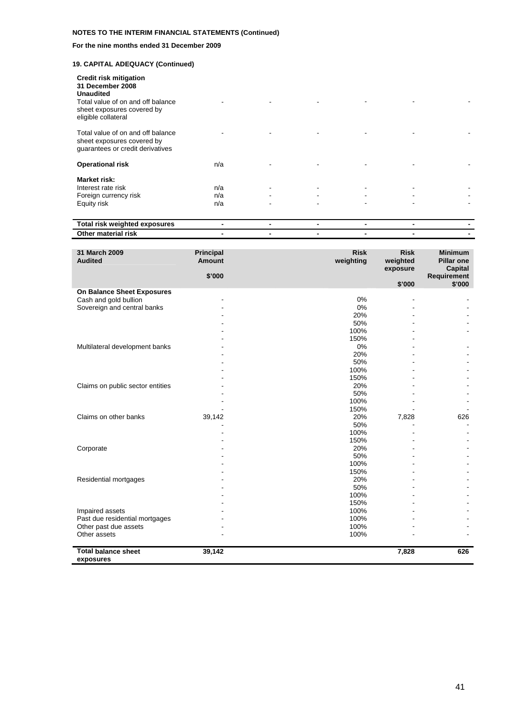#### **For the nine months ended 31 December 2009**

| <b>Credit risk mitigation</b><br>31 December 2008<br><b>Unaudited</b><br>Total value of on and off balance<br>sheet exposures covered by<br>eligible collateral |                   |   |                          | ۰              |                |  |
|-----------------------------------------------------------------------------------------------------------------------------------------------------------------|-------------------|---|--------------------------|----------------|----------------|--|
| Total value of on and off balance<br>sheet exposures covered by<br>quarantees or credit derivatives                                                             |                   |   |                          |                |                |  |
| <b>Operational risk</b>                                                                                                                                         | n/a               |   |                          |                |                |  |
| <b>Market risk:</b><br>Interest rate risk<br>Foreign currency risk<br>Equity risk                                                                               | n/a<br>n/a<br>n/a | ٠ | $\overline{\phantom{a}}$ | $\blacksquare$ | $\blacksquare$ |  |

| weighted<br><b>exposures</b><br>∵ris⊾<br> |  |  |  |
|-------------------------------------------|--|--|--|
| riek<br>$\sim$<br>15M<br>нацы             |  |  |  |
|                                           |  |  |  |

| 31 March 2009<br><b>Audited</b>         | <b>Principal</b><br>Amount<br>\$'000 | <b>Risk</b><br>weighting | <b>Risk</b><br>weighted<br>exposure | <b>Minimum</b><br><b>Pillar one</b><br>Capital |
|-----------------------------------------|--------------------------------------|--------------------------|-------------------------------------|------------------------------------------------|
|                                         |                                      |                          | \$'000                              | Requirement<br>\$'000                          |
| On Balance Sheet Exposures              |                                      |                          |                                     |                                                |
| Cash and gold bullion                   |                                      | 0%                       | $\blacksquare$                      |                                                |
| Sovereign and central banks             |                                      | 0%                       |                                     |                                                |
|                                         |                                      | 20%                      |                                     |                                                |
|                                         |                                      | 50%                      |                                     |                                                |
|                                         |                                      | 100%                     |                                     |                                                |
|                                         |                                      | 150%                     |                                     |                                                |
| Multilateral development banks          |                                      | 0%                       |                                     |                                                |
|                                         |                                      | 20%                      |                                     |                                                |
|                                         |                                      | 50%                      |                                     |                                                |
|                                         |                                      | 100%                     |                                     |                                                |
|                                         |                                      | 150%                     |                                     |                                                |
| Claims on public sector entities        |                                      | 20%                      |                                     |                                                |
|                                         |                                      | 50%                      |                                     |                                                |
|                                         |                                      | 100%                     |                                     |                                                |
|                                         |                                      | 150%                     |                                     |                                                |
| Claims on other banks                   | 39,142                               | 20%                      | 7,828                               | 626                                            |
|                                         |                                      | 50%                      |                                     |                                                |
|                                         |                                      | 100%                     |                                     |                                                |
|                                         |                                      | 150%                     |                                     |                                                |
| Corporate                               |                                      | 20%                      |                                     |                                                |
|                                         |                                      | 50%                      |                                     |                                                |
|                                         |                                      | 100%                     |                                     |                                                |
|                                         |                                      | 150%                     |                                     |                                                |
| Residential mortgages                   |                                      | 20%                      |                                     |                                                |
|                                         |                                      | 50%                      |                                     |                                                |
|                                         |                                      | 100%                     |                                     |                                                |
|                                         |                                      | 150%                     |                                     |                                                |
| Impaired assets                         |                                      | 100%                     |                                     |                                                |
| Past due residential mortgages          |                                      | 100%                     |                                     |                                                |
| Other past due assets                   |                                      | 100%                     |                                     |                                                |
| Other assets                            |                                      | 100%                     |                                     |                                                |
| <b>Total balance sheet</b><br>exposures | 39,142                               |                          | 7,828                               | 626                                            |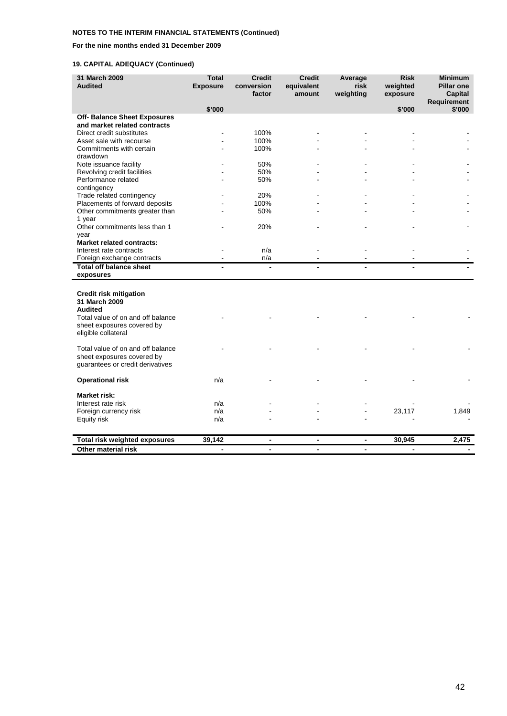#### **For the nine months ended 31 December 2009**

| 31 March 2009<br><b>Audited</b>      | <b>Total</b><br><b>Exposure</b> | <b>Credit</b><br>conversion<br>factor | <b>Credit</b><br>equivalent<br>amount | Average<br>risk<br>weighting | <b>Risk</b><br>weighted<br>exposure | <b>Minimum</b><br><b>Pillar one</b><br><b>Capital</b><br><b>Requirement</b> |
|--------------------------------------|---------------------------------|---------------------------------------|---------------------------------------|------------------------------|-------------------------------------|-----------------------------------------------------------------------------|
|                                      | \$'000                          |                                       |                                       |                              | \$'000                              | \$'000                                                                      |
| <b>Off- Balance Sheet Exposures</b>  |                                 |                                       |                                       |                              |                                     |                                                                             |
| and market related contracts         |                                 |                                       |                                       |                              |                                     |                                                                             |
| Direct credit substitutes            |                                 | 100%                                  |                                       |                              |                                     |                                                                             |
| Asset sale with recourse             |                                 | 100%                                  |                                       |                              |                                     |                                                                             |
| Commitments with certain             |                                 | 100%                                  |                                       |                              |                                     |                                                                             |
| drawdown<br>Note issuance facility   |                                 | 50%                                   |                                       |                              |                                     |                                                                             |
| Revolving credit facilities          |                                 | 50%                                   |                                       |                              |                                     |                                                                             |
| Performance related                  |                                 | 50%                                   |                                       |                              |                                     |                                                                             |
| contingency                          |                                 |                                       |                                       |                              |                                     |                                                                             |
| Trade related contingency            |                                 | 20%                                   |                                       |                              |                                     |                                                                             |
| Placements of forward deposits       |                                 | 100%                                  |                                       |                              |                                     |                                                                             |
| Other commitments greater than       |                                 | 50%                                   |                                       |                              |                                     |                                                                             |
| 1 year                               |                                 |                                       |                                       |                              |                                     |                                                                             |
| Other commitments less than 1        |                                 | 20%                                   |                                       |                              |                                     |                                                                             |
| year                                 |                                 |                                       |                                       |                              |                                     |                                                                             |
| <b>Market related contracts:</b>     |                                 |                                       |                                       |                              |                                     |                                                                             |
| Interest rate contracts              |                                 | n/a                                   |                                       |                              |                                     |                                                                             |
| Foreign exchange contracts           |                                 | n/a                                   | L,                                    |                              |                                     |                                                                             |
| <b>Total off balance sheet</b>       |                                 | $\blacksquare$                        |                                       |                              |                                     |                                                                             |
| exposures                            |                                 |                                       |                                       |                              |                                     |                                                                             |
|                                      |                                 |                                       |                                       |                              |                                     |                                                                             |
| <b>Credit risk mitigation</b>        |                                 |                                       |                                       |                              |                                     |                                                                             |
| 31 March 2009<br><b>Audited</b>      |                                 |                                       |                                       |                              |                                     |                                                                             |
| Total value of on and off balance    |                                 |                                       |                                       |                              |                                     |                                                                             |
| sheet exposures covered by           |                                 |                                       |                                       |                              |                                     |                                                                             |
| eligible collateral                  |                                 |                                       |                                       |                              |                                     |                                                                             |
|                                      |                                 |                                       |                                       |                              |                                     |                                                                             |
| Total value of on and off balance    |                                 |                                       |                                       |                              |                                     |                                                                             |
| sheet exposures covered by           |                                 |                                       |                                       |                              |                                     |                                                                             |
| guarantees or credit derivatives     |                                 |                                       |                                       |                              |                                     |                                                                             |
|                                      |                                 |                                       |                                       |                              |                                     |                                                                             |
| <b>Operational risk</b>              | n/a                             |                                       |                                       |                              |                                     |                                                                             |
| <b>Market risk:</b>                  |                                 |                                       |                                       |                              |                                     |                                                                             |
| Interest rate risk                   | n/a                             |                                       |                                       |                              |                                     |                                                                             |
| Foreign currency risk                | n/a                             |                                       |                                       |                              | 23,117                              | 1,849                                                                       |
| Equity risk                          | n/a                             |                                       |                                       |                              |                                     |                                                                             |
|                                      |                                 |                                       |                                       |                              |                                     |                                                                             |
| <b>Total risk weighted exposures</b> | 39,142                          |                                       | ٠                                     | $\blacksquare$               | 30,945                              | 2,475                                                                       |
| Other material risk                  | ٠                               |                                       |                                       |                              | $\overline{\phantom{a}}$            |                                                                             |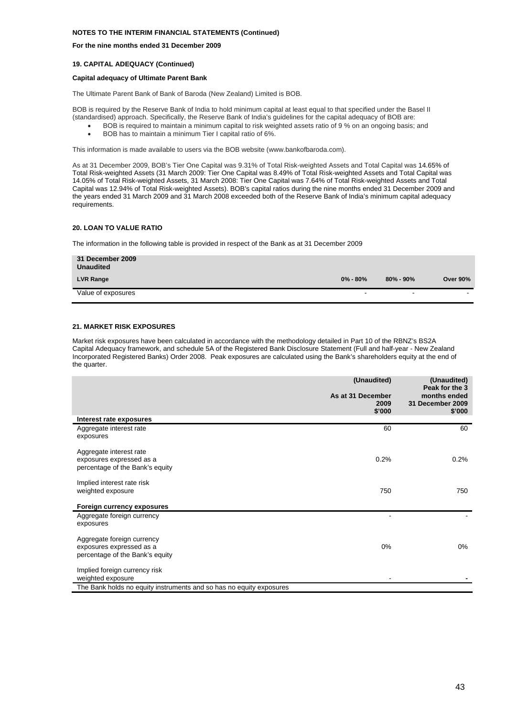#### **For the nine months ended 31 December 2009**

#### **19. CAPITAL ADEQUACY (Continued)**

#### **Capital adequacy of Ultimate Parent Bank**

The Ultimate Parent Bank of Bank of Baroda (New Zealand) Limited is BOB.

BOB is required by the Reserve Bank of India to hold minimum capital at least equal to that specified under the Basel II (standardised) approach. Specifically, the Reserve Bank of India's guidelines for the capital adequacy of BOB are:

- BOB is required to maintain a minimum capital to risk weighted assets ratio of 9 % on an ongoing basis; and
	- BOB has to maintain a minimum Tier I capital ratio of 6%.

This information is made available to users via the BOB website (www.bankofbaroda.com).

As at 31 December 2009, BOB's Tier One Capital was 9.31% of Total Risk-weighted Assets and Total Capital was 14.65% of Total Risk-weighted Assets (31 March 2009: Tier One Capital was 8.49% of Total Risk-weighted Assets and Total Capital was 14.05% of Total Risk-weighted Assets, 31 March 2008: Tier One Capital was 7.64% of Total Risk-weighted Assets and Total Capital was 12.94% of Total Risk-weighted Assets). BOB's capital ratios during the nine months ended 31 December 2009 and the years ended 31 March 2009 and 31 March 2008 exceeded both of the Reserve Bank of India's minimum capital adequacy requirements.

#### **20. LOAN TO VALUE RATIO**

The information in the following table is provided in respect of the Bank as at 31 December 2009

| 31 December 2009<br><b>Unaudited</b> |                          |                          |                          |
|--------------------------------------|--------------------------|--------------------------|--------------------------|
| <b>LVR Range</b>                     | $0\% - 80\%$             | $80\% - 90\%$            | <b>Over 90%</b>          |
| Value of exposures                   | $\overline{\phantom{0}}$ | $\overline{\phantom{a}}$ | $\overline{\phantom{a}}$ |

#### **21. MARKET RISK EXPOSURES**

Market risk exposures have been calculated in accordance with the methodology detailed in Part 10 of the RBNZ's BS2A Capital Adequacy framework, and schedule 5A of the Registered Bank Disclosure Statement (Full and half-year - New Zealand Incorporated Registered Banks) Order 2008. Peak exposures are calculated using the Bank's shareholders equity at the end of the quarter.

| Interest rate exposures<br>60<br>60<br>Aggregate interest rate<br>exposures<br>Aggregate interest rate<br>0.2%<br>0.2%<br>exposures expressed as a<br>percentage of the Bank's equity<br>Implied interest rate risk<br>750<br>750<br>weighted exposure<br>Foreign currency exposures<br>Aggregate foreign currency<br>exposures<br>Aggregate foreign currency<br>0%<br>0%<br>exposures expressed as a<br>percentage of the Bank's equity<br>Implied foreign currency risk<br>weighted exposure<br>The Bank holds no equity instruments and so has no equity exposures | (Unaudited)<br>As at 31 December<br>2009<br>\$'000 | (Unaudited)<br>Peak for the 3<br>months ended<br>31 December 2009<br>\$'000 |
|-----------------------------------------------------------------------------------------------------------------------------------------------------------------------------------------------------------------------------------------------------------------------------------------------------------------------------------------------------------------------------------------------------------------------------------------------------------------------------------------------------------------------------------------------------------------------|----------------------------------------------------|-----------------------------------------------------------------------------|
|                                                                                                                                                                                                                                                                                                                                                                                                                                                                                                                                                                       |                                                    |                                                                             |
|                                                                                                                                                                                                                                                                                                                                                                                                                                                                                                                                                                       |                                                    |                                                                             |
|                                                                                                                                                                                                                                                                                                                                                                                                                                                                                                                                                                       |                                                    |                                                                             |
|                                                                                                                                                                                                                                                                                                                                                                                                                                                                                                                                                                       |                                                    |                                                                             |
|                                                                                                                                                                                                                                                                                                                                                                                                                                                                                                                                                                       |                                                    |                                                                             |
|                                                                                                                                                                                                                                                                                                                                                                                                                                                                                                                                                                       |                                                    |                                                                             |
|                                                                                                                                                                                                                                                                                                                                                                                                                                                                                                                                                                       |                                                    |                                                                             |
|                                                                                                                                                                                                                                                                                                                                                                                                                                                                                                                                                                       |                                                    |                                                                             |
|                                                                                                                                                                                                                                                                                                                                                                                                                                                                                                                                                                       |                                                    |                                                                             |